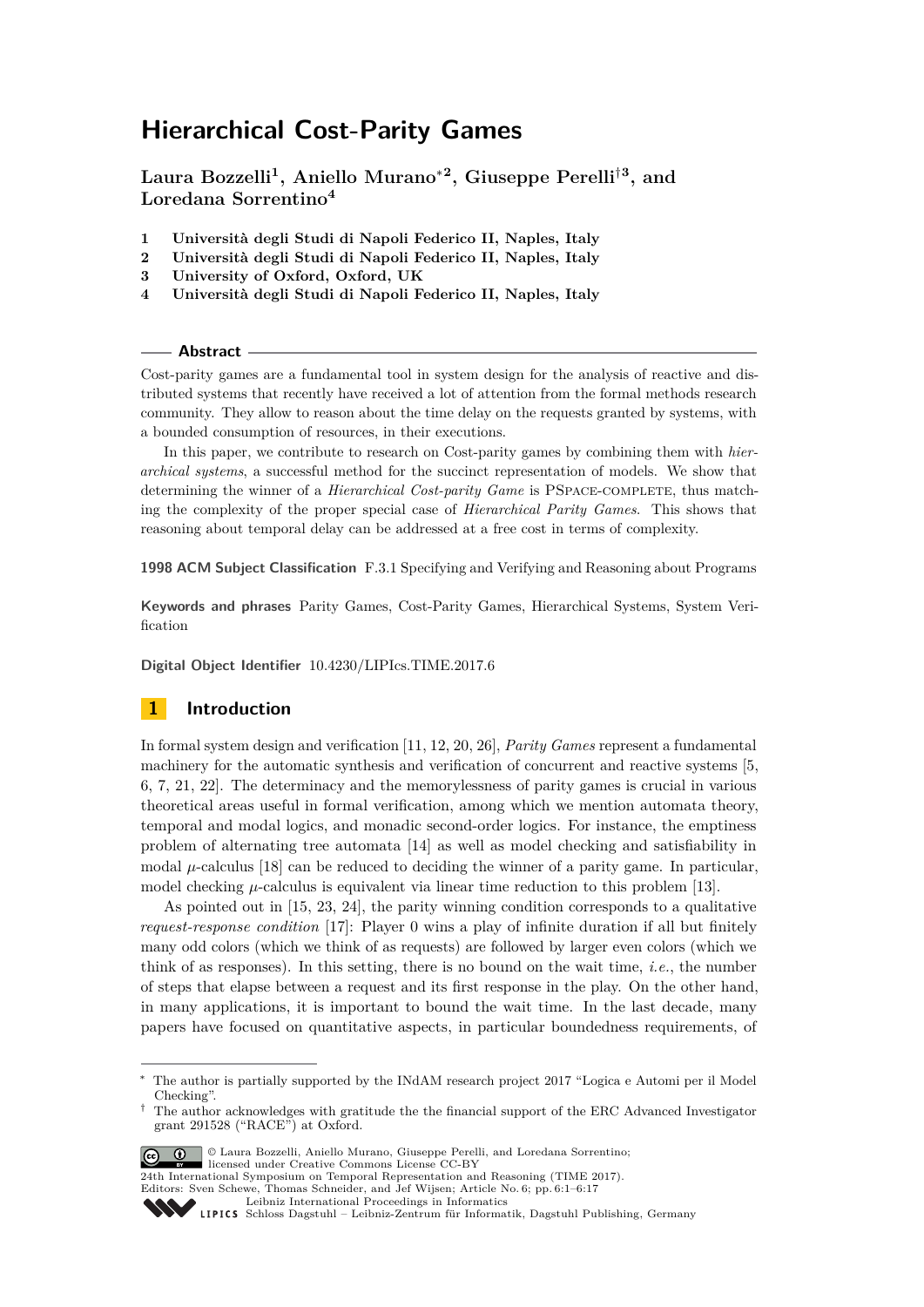# **Hierarchical Cost-Parity Games**

**Laura Bozzelli<sup>1</sup> , Aniello Murano**<sup>∗</sup>**<sup>2</sup> , Giuseppe Perelli**†**<sup>3</sup> , and Loredana Sorrentino<sup>4</sup>**

- **1 Università degli Studi di Napoli Federico II, Naples, Italy**
- **2 Università degli Studi di Napoli Federico II, Naples, Italy**
- **3 University of Oxford, Oxford, UK**
- **4 Università degli Studi di Napoli Federico II, Naples, Italy**

#### **Abstract**

Cost-parity games are a fundamental tool in system design for the analysis of reactive and distributed systems that recently have received a lot of attention from the formal methods research community. They allow to reason about the time delay on the requests granted by systems, with a bounded consumption of resources, in their executions.

In this paper, we contribute to research on Cost-parity games by combining them with *hierarchical systems*, a successful method for the succinct representation of models. We show that determining the winner of a *Hierarchical Cost-parity Game* is PSpace-complete, thus matching the complexity of the proper special case of *Hierarchical Parity Games*. This shows that reasoning about temporal delay can be addressed at a free cost in terms of complexity.

**1998 ACM Subject Classification** F.3.1 Specifying and Verifying and Reasoning about Programs

**Keywords and phrases** Parity Games, Cost-Parity Games, Hierarchical Systems, System Verification

**Digital Object Identifier** [10.4230/LIPIcs.TIME.2017.6](http://dx.doi.org/10.4230/LIPIcs.TIME.2017.6)

# **1 Introduction**

In formal system design and verification [\[11,](#page-15-0) [12,](#page-15-1) [20,](#page-16-0) [26\]](#page-16-1), *Parity Games* represent a fundamental machinery for the automatic synthesis and verification of concurrent and reactive systems [\[5,](#page-15-2) [6,](#page-15-3) [7,](#page-15-4) [21,](#page-16-2) [22\]](#page-16-3). The determinacy and the memorylessness of parity games is crucial in various theoretical areas useful in formal verification, among which we mention automata theory, temporal and modal logics, and monadic second-order logics. For instance, the emptiness problem of alternating tree automata [\[14\]](#page-16-4) as well as model checking and satisfiability in modal  $\mu$ -calculus [\[18\]](#page-16-5) can be reduced to deciding the winner of a parity game. In particular, model checking  $\mu$ -calculus is equivalent via linear time reduction to this problem [\[13\]](#page-15-5).

As pointed out in [\[15,](#page-16-6) [23,](#page-16-7) [24\]](#page-16-8), the parity winning condition corresponds to a qualitative *request-response condition* [\[17\]](#page-16-9): Player 0 wins a play of infinite duration if all but finitely many odd colors (which we think of as requests) are followed by larger even colors (which we think of as responses). In this setting, there is no bound on the wait time, *i.e.*, the number of steps that elapse between a request and its first response in the play. On the other hand, in many applications, it is important to bound the wait time. In the last decade, many papers have focused on quantitative aspects, in particular boundedness requirements, of

<sup>†</sup> The author acknowledges with gratitude the the financial support of the ERC Advanced Investigator grant 291528 ("RACE") at Oxford.



<sup>©</sup> Laura Bozzelli, Aniello Murano, Giuseppe Perelli, and Loredana Sorrentino; licensed under Creative Commons License CC-BY 24th International Symposium on Temporal Representation and Reasoning (TIME 2017).

Editors: Sven Schewe, Thomas Schneider, and Jef Wijsen; Article No. 6; pp. 6:1–6[:17](#page-16-10)

The author is partially supported by the INdAM research project 2017 "Logica e Automi per il Model" Checking".

[Leibniz International Proceedings in Informatics](http://www.dagstuhl.de/lipics/)

Leibniz international ruceedings in miorimetric<br>
LIPICS [Schloss Dagstuhl – Leibniz-Zentrum für Informatik, Dagstuhl Publishing, Germany](http://www.dagstuhl.de)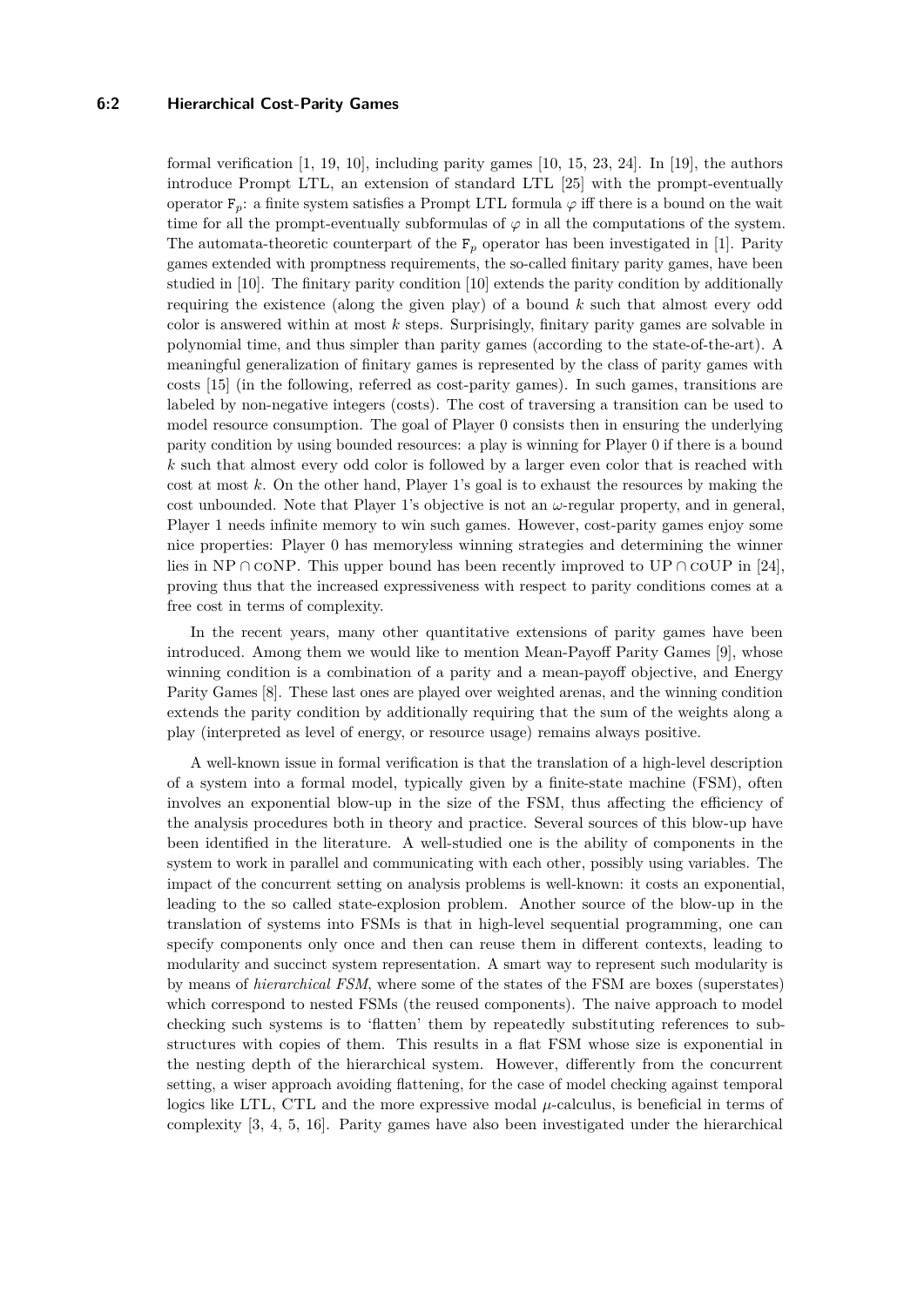# **6:2 Hierarchical Cost-Parity Games**

formal verification  $[1, 19, 10]$  $[1, 19, 10]$  $[1, 19, 10]$  $[1, 19, 10]$  $[1, 19, 10]$ , including parity games  $[10, 15, 23, 24]$  $[10, 15, 23, 24]$  $[10, 15, 23, 24]$  $[10, 15, 23, 24]$  $[10, 15, 23, 24]$  $[10, 15, 23, 24]$  $[10, 15, 23, 24]$ . In  $[19]$ , the authors introduce Prompt LTL, an extension of standard LTL [\[25\]](#page-16-12) with the prompt-eventually operator  $F_p$ : a finite system satisfies a Prompt LTL formula  $\varphi$  iff there is a bound on the wait time for all the prompt-eventually subformulas of  $\varphi$  in all the computations of the system. The automata-theoretic counterpart of the  $F_p$  operator has been investigated in [\[1\]](#page-15-6). Parity games extended with promptness requirements, the so-called finitary parity games, have been studied in [\[10\]](#page-15-7). The finitary parity condition [\[10\]](#page-15-7) extends the parity condition by additionally requiring the existence (along the given play) of a bound *k* such that almost every odd color is answered within at most *k* steps. Surprisingly, finitary parity games are solvable in polynomial time, and thus simpler than parity games (according to the state-of-the-art). A meaningful generalization of finitary games is represented by the class of parity games with costs [\[15\]](#page-16-6) (in the following, referred as cost-parity games). In such games, transitions are labeled by non-negative integers (costs). The cost of traversing a transition can be used to model resource consumption. The goal of Player 0 consists then in ensuring the underlying parity condition by using bounded resources: a play is winning for Player 0 if there is a bound *k* such that almost every odd color is followed by a larger even color that is reached with cost at most *k*. On the other hand, Player 1's goal is to exhaust the resources by making the cost unbounded. Note that Player 1's objective is not an *ω*-regular property, and in general, Player 1 needs infinite memory to win such games. However, cost-parity games enjoy some nice properties: Player 0 has memoryless winning strategies and determining the winner lies in NP ∩ coNP. This upper bound has been recently improved to UP ∩ coUP in [\[24\]](#page-16-8), proving thus that the increased expressiveness with respect to parity conditions comes at a free cost in terms of complexity.

In the recent years, many other quantitative extensions of parity games have been introduced. Among them we would like to mention Mean-Payoff Parity Games [\[9\]](#page-15-8), whose winning condition is a combination of a parity and a mean-payoff objective, and Energy Parity Games [\[8\]](#page-15-9). These last ones are played over weighted arenas, and the winning condition extends the parity condition by additionally requiring that the sum of the weights along a play (interpreted as level of energy, or resource usage) remains always positive.

A well-known issue in formal verification is that the translation of a high-level description of a system into a formal model, typically given by a finite-state machine (FSM), often involves an exponential blow-up in the size of the FSM, thus affecting the efficiency of the analysis procedures both in theory and practice. Several sources of this blow-up have been identified in the literature. A well-studied one is the ability of components in the system to work in parallel and communicating with each other, possibly using variables. The impact of the concurrent setting on analysis problems is well-known: it costs an exponential, leading to the so called state-explosion problem. Another source of the blow-up in the translation of systems into FSMs is that in high-level sequential programming, one can specify components only once and then can reuse them in different contexts, leading to modularity and succinct system representation. A smart way to represent such modularity is by means of *hierarchical FSM*, where some of the states of the FSM are boxes (superstates) which correspond to nested FSMs (the reused components). The naive approach to model checking such systems is to 'flatten' them by repeatedly substituting references to substructures with copies of them. This results in a flat FSM whose size is exponential in the nesting depth of the hierarchical system. However, differently from the concurrent setting, a wiser approach avoiding flattening, for the case of model checking against temporal logics like LTL, CTL and the more expressive modal  $\mu$ -calculus, is beneficial in terms of complexity [\[3,](#page-15-10) [4,](#page-15-11) [5,](#page-15-2) [16\]](#page-16-13). Parity games have also been investigated under the hierarchical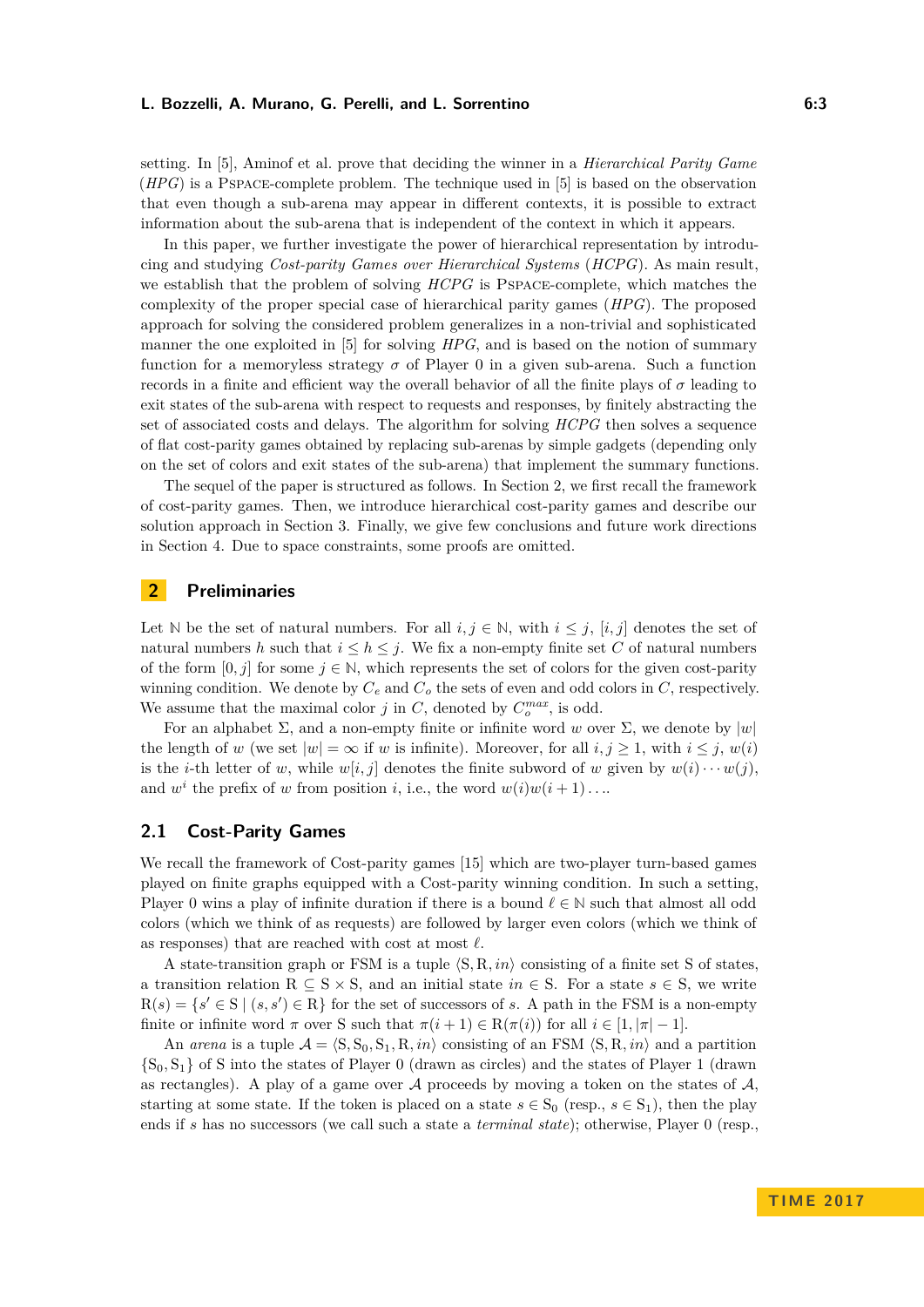setting. In [\[5\]](#page-15-2), Aminof et al. prove that deciding the winner in a *Hierarchical Parity Game* (*HPG*) is a Pspace-complete problem. The technique used in [\[5\]](#page-15-2) is based on the observation that even though a sub-arena may appear in different contexts, it is possible to extract information about the sub-arena that is independent of the context in which it appears.

In this paper, we further investigate the power of hierarchical representation by introducing and studying *Cost-parity Games over Hierarchical Systems* (*HCPG*). As main result, we establish that the problem of solving *HCPG* is Pspace-complete, which matches the complexity of the proper special case of hierarchical parity games (*HPG*). The proposed approach for solving the considered problem generalizes in a non-trivial and sophisticated manner the one exploited in [\[5\]](#page-15-2) for solving *HPG*, and is based on the notion of summary function for a memoryless strategy  $\sigma$  of Player 0 in a given sub-arena. Such a function records in a finite and efficient way the overall behavior of all the finite plays of  $\sigma$  leading to exit states of the sub-arena with respect to requests and responses, by finitely abstracting the set of associated costs and delays. The algorithm for solving *HCPG* then solves a sequence of flat cost-parity games obtained by replacing sub-arenas by simple gadgets (depending only on the set of colors and exit states of the sub-arena) that implement the summary functions.

The sequel of the paper is structured as follows. In Section [2,](#page-2-0) we first recall the framework of cost-parity games. Then, we introduce hierarchical cost-parity games and describe our solution approach in Section [3.](#page-5-0) Finally, we give few conclusions and future work directions in Section [4.](#page-15-12) Due to space constraints, some proofs are omitted.

# <span id="page-2-0"></span>**2 Preliminaries**

Let N be the set of natural numbers. For all  $i, j \in \mathbb{N}$ , with  $i \leq j$ ,  $[i, j]$  denotes the set of natural numbers h such that  $i \leq h \leq j$ . We fix a non-empty finite set C of natural numbers of the form  $[0, j]$  for some  $j \in \mathbb{N}$ , which represents the set of colors for the given cost-parity winning condition. We denote by  $C_e$  and  $C_o$  the sets of even and odd colors in  $C$ , respectively. We assume that the maximal color  $j$  in  $C$ , denoted by  $C_o^{max}$ , is odd.

For an alphabet  $\Sigma$ , and a non-empty finite or infinite word *w* over  $\Sigma$ , we denote by  $|w|$ the length of *w* (we set  $|w| = \infty$  if *w* is infinite). Moreover, for all  $i, j \geq 1$ , with  $i \leq j$ ,  $w(i)$ is the *i*-th letter of *w*, while  $w[i, j]$  denotes the finite subword of *w* given by  $w(i) \cdots w(j)$ . and  $w^i$  the prefix of *w* from position *i*, i.e., the word  $w(i)w(i + 1)$ ...

# **2.1 Cost-Parity Games**

We recall the framework of Cost-parity games [\[15\]](#page-16-6) which are two-player turn-based games played on finite graphs equipped with a Cost-parity winning condition. In such a setting, Player 0 wins a play of infinite duration if there is a bound  $\ell \in \mathbb{N}$  such that almost all odd colors (which we think of as requests) are followed by larger even colors (which we think of as responses) that are reached with cost at most  $\ell$ .

A state-transition graph or FSM is a tuple  $\langle S, R, in \rangle$  consisting of a finite set S of states, a transition relation R  $\subseteq$  S  $\times$  S, and an initial state *in*  $\in$  S. For a state *s*  $\in$  S, we write  $R(s) = \{s' \in S \mid (s, s') \in R\}$  for the set of successors of *s*. A path in the FSM is a non-empty finite or infinite word  $\pi$  over S such that  $\pi(i + 1) \in \mathbb{R}(\pi(i))$  for all  $i \in [1, |\pi| - 1]$ .

An *arena* is a tuple  $A = \langle S, S_0, S_1, R, in \rangle$  consisting of an FSM  $\langle S, R, in \rangle$  and a partition  $\{S_0, S_1\}$  of S into the states of Player 0 (drawn as circles) and the states of Player 1 (drawn as rectangles). A play of a game over  $A$  proceeds by moving a token on the states of  $A$ . starting at some state. If the token is placed on a state  $s \in S_0$  (resp.,  $s \in S_1$ ), then the play ends if *s* has no successors (we call such a state a *terminal state*); otherwise, Player 0 (resp.,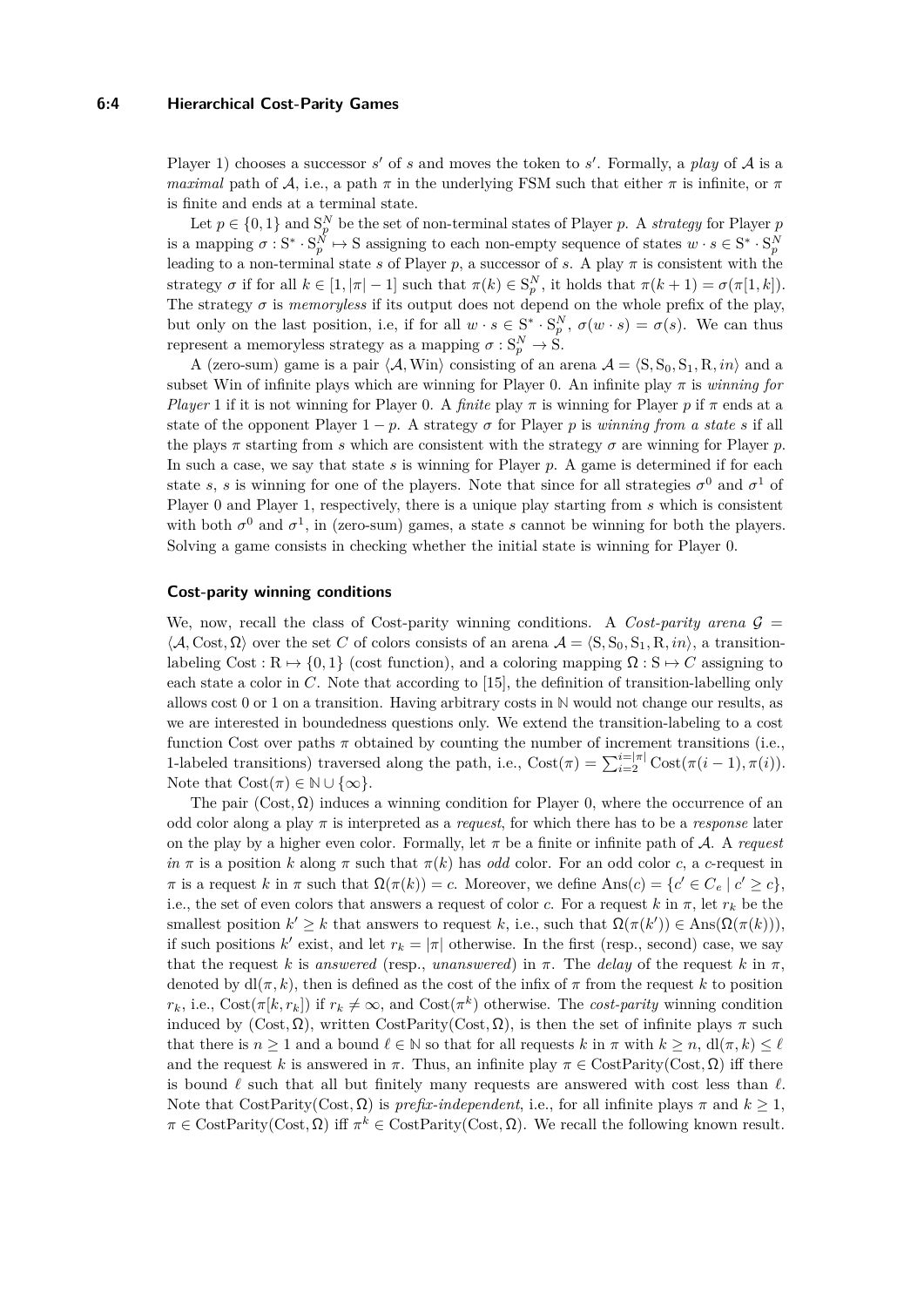#### **6:4 Hierarchical Cost-Parity Games**

Player 1) chooses a successor  $s'$  of  $s$  and moves the token to  $s'$ . Formally, a *play* of  $A$  is a *maximal* path of A, i.e., a path  $\pi$  in the underlying FSM such that either  $\pi$  is infinite, or  $\pi$ is finite and ends at a terminal state.

Let  $p \in \{0,1\}$  and  $S_p^N$  be the set of non-terminal states of Player *p*. A *strategy* for Player *p* is a mapping  $\sigma : S^* \cdot S_p^N \mapsto S$  assigning to each non-empty sequence of states  $w \cdot s \in S^* \cdot S_p^N$ leading to a non-terminal state *s* of Player *p*, a successor of *s*. A play  $\pi$  is consistent with the strategy  $\sigma$  if for all  $k \in [1, |\pi| - 1]$  such that  $\pi(k) \in S_p^N$ , it holds that  $\pi(k+1) = \sigma(\pi[1, k])$ . The strategy  $\sigma$  is *memoryless* if its output does not depend on the whole prefix of the play, but only on the last position, i.e, if for all  $w \cdot s \in S^* \cdot S_p^N$ ,  $\sigma(w \cdot s) = \sigma(s)$ . We can thus represent a memoryless strategy as a mapping  $\sigma : S_p^N \to \tilde{S}$ .

A (zero-sum) game is a pair  $\langle A, W$ in) consisting of an arena  $A = \langle S, S_0, S_1, R, in \rangle$  and a subset Win of infinite plays which are winning for Player 0. An infinite play  $\pi$  is *winning for Player* 1 if it is not winning for Player 0. A *finite* play  $\pi$  is winning for Player *p* if  $\pi$  ends at a state of the opponent Player  $1 - p$ . A strategy  $\sigma$  for Player p is *winning from a state s* if all the plays  $\pi$  starting from *s* which are consistent with the strategy  $\sigma$  are winning for Player  $p$ . In such a case, we say that state *s* is winning for Player *p*. A game is determined if for each state *s*, *s* is winning for one of the players. Note that since for all strategies  $\sigma^0$  and  $\sigma^1$  of Player 0 and Player 1, respectively, there is a unique play starting from *s* which is consistent with both  $\sigma^0$  and  $\sigma^1$ , in (zero-sum) games, a state *s* cannot be winning for both the players. Solving a game consists in checking whether the initial state is winning for Player 0.

#### **Cost-parity winning conditions**

We, now, recall the class of Cost-parity winning conditions. A *Cost-parity arena*  $G =$  $\langle A, \text{Cost}, \Omega \rangle$  over the set *C* of colors consists of an arena  $A = \langle S, S_0, S_1, R, in \rangle$ , a transitionlabeling Cost :  $R \mapsto \{0, 1\}$  (cost function), and a coloring mapping  $\Omega : S \mapsto C$  assigning to each state a color in *C*. Note that according to [\[15\]](#page-16-6), the definition of transition-labelling only allows cost 0 or 1 on a transition. Having arbitrary costs in **N** would not change our results, as we are interested in boundedness questions only. We extend the transition-labeling to a cost function Cost over paths  $\pi$  obtained by counting the number of increment transitions (i.e., 1-labeled transitions) traversed along the path, i.e.,  $Cost(\pi) = \sum_{i=2}^{i=|\pi|} Cost(\pi(i-1), \pi(i))$ . Note that  $Cost(\pi) \in \mathbb{N} \cup \{\infty\}.$ 

The pair  $(Cost, \Omega)$  induces a winning condition for Player 0, where the occurrence of an odd color along a play *π* is interpreted as a *request*, for which there has to be a *response* later on the play by a higher even color. Formally, let  $\pi$  be a finite or infinite path of  $\mathcal{A}$ . A *request*  $in \pi$  is a position *k* along  $\pi$  such that  $\pi(k)$  has *odd* color. For an odd color *c*, a *c*-request in *π* is a request *k* in *π* such that  $\Omega(\pi(k)) = c$ . Moreover, we define  $\text{Ans}(c) = \{c' \in C_e \mid c' \ge c\}$ , i.e., the set of even colors that answers a request of color *c*. For a request  $k$  in  $\pi$ , let  $r_k$  be the smallest position  $k' \geq k$  that answers to request *k*, i.e., such that  $\Omega(\pi(k')) \in \text{Ans}(\Omega(\pi(k)))$ , if such positions  $k'$  exist, and let  $r_k = |\pi|$  otherwise. In the first (resp., second) case, we say that the request *k* is *answered* (resp., *unanswered*) in  $\pi$ . The *delay* of the request *k* in  $\pi$ , denoted by  $dl(\pi, k)$ , then is defined as the cost of the infix of  $\pi$  from the request k to position *r*<sub>*k*</sub>, i.e., Cost( $\pi$ [*k*,  $r$ <sub>*k*</sub>]) if  $r_k \neq \infty$ , and Cost( $\pi$ <sup>*k*</sup>) otherwise. The *cost-parity* winning condition induced by (Cost,  $\Omega$ ), written CostParity(Cost,  $\Omega$ ), is then the set of infinite plays  $\pi$  such that there is  $n \geq 1$  and a bound  $\ell \in \mathbb{N}$  so that for all requests *k* in  $\pi$  with  $k \geq n$ , dl $(\pi, k) \leq \ell$ and the request *k* is answered in  $\pi$ . Thus, an infinite play  $\pi \in \text{CostParity}(Cost, \Omega)$  iff there is bound  $\ell$  such that all but finitely many requests are answered with cost less than  $\ell$ . Note that CostParity(Cost, Ω) is *prefix-independent*, i.e., for all infinite plays  $\pi$  and  $k \geq 1$ ,  $\pi \in \text{CostParity}(\text{Cost}, \Omega)$  iff  $\pi^k \in \text{CostParity}(\text{Cost}, \Omega)$ . We recall the following known result.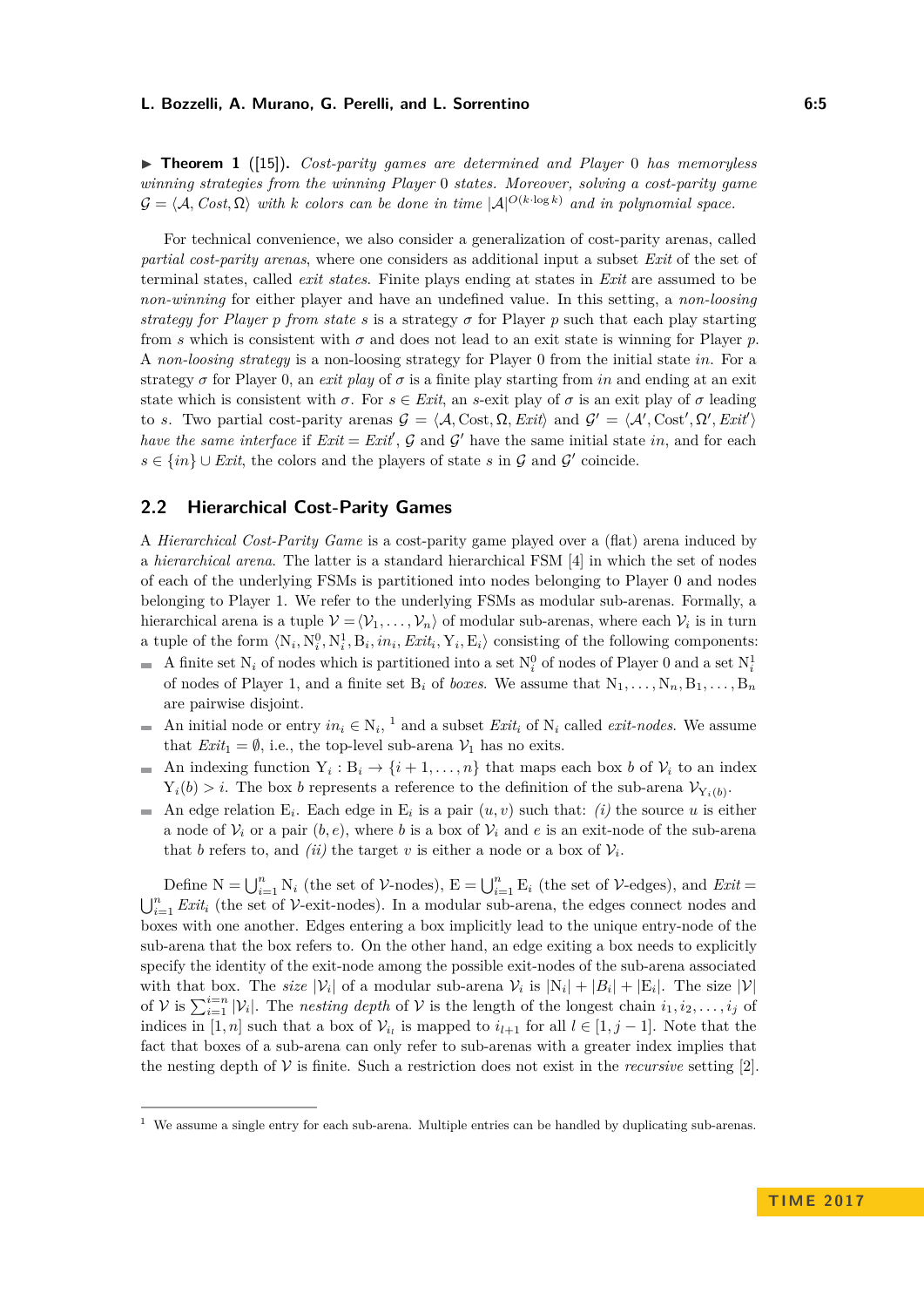<span id="page-4-1"></span>I **Theorem 1** ([\[15\]](#page-16-6))**.** *Cost-parity games are determined and Player* 0 *has memoryless winning strategies from the winning Player* 0 *states. Moreover, solving a cost-parity game*  $\mathcal{G} = \langle \mathcal{A}, \mathit{Cost}, \Omega \rangle$  with *k* colors can be done in time  $|\mathcal{A}|^{O(k \cdot \log k)}$  and in polynomial space.

For technical convenience, we also consider a generalization of cost-parity arenas, called *partial cost-parity arenas*, where one considers as additional input a subset *Exit* of the set of terminal states, called *exit states*. Finite plays ending at states in *Exit* are assumed to be *non-winning* for either player and have an undefined value. In this setting, a *non-loosing strategy for Player p from state s* is a strategy  $\sigma$  for Player  $p$  such that each play starting from *s* which is consistent with  $\sigma$  and does not lead to an exit state is winning for Player *p*. A *non-loosing strategy* is a non-loosing strategy for Player 0 from the initial state *in*. For a strategy  $\sigma$  for Player 0, an *exit play* of  $\sigma$  is a finite play starting from *in* and ending at an exit state which is consistent with  $\sigma$ . For  $s \in \text{Exit}$ , an *s*-exit play of  $\sigma$  is an exit play of  $\sigma$  leading to *s*. Two partial cost-parity arenas  $G = \langle A, \text{Cost}, \Omega, \text{Exit} \rangle$  and  $G' = \langle A', \text{Cost}', \Omega', \text{Exit} \rangle$ *have the same interface* if  $Exit =Exit, \mathcal{G}$  and  $\mathcal{G}'$  have the same initial state *in*, and for each  $s \in \{in\}$  ∪ *Exit*, the colors and the players of state *s* in G and G' coincide.

# **2.2 Hierarchical Cost-Parity Games**

A *Hierarchical Cost-Parity Game* is a cost-parity game played over a (flat) arena induced by a *hierarchical arena*. The latter is a standard hierarchical FSM [\[4\]](#page-15-11) in which the set of nodes of each of the underlying FSMs is partitioned into nodes belonging to Player 0 and nodes belonging to Player 1. We refer to the underlying FSMs as modular sub-arenas. Formally, a hierarchical arena is a tuple  $V = \langle V_1, \ldots, V_n \rangle$  of modular sub-arenas, where each  $V_i$  is in turn a tuple of the form  $\langle N_i, N_i^0, N_i^1, B_i, in_i, Ext_i, Y_i, E_i \rangle$  consisting of the following components:

- A finite set  $N_i$  of nodes which is partitioned into a set  $N_i^0$  of nodes of Player 0 and a set  $N_i^1$  $\sim$ of nodes of Player 1, and a finite set  $B_i$  of *boxes*. We assume that  $N_1, \ldots, N_n, B_1, \ldots, B_n$ are pairwise disjoint.
- An initial node or entry  $in_i \in N_i$ , <sup>[1](#page-4-0)</sup> and a subset *Exit<sub>i</sub>* of  $N_i$  called *exit-nodes*. We assume that  $Exit_1 = \emptyset$ , i.e., the top-level sub-arena  $\mathcal{V}_1$  has no exits.
- An indexing function  $Y_i : B_i \to \{i+1, \ldots, n\}$  that maps each box *b* of  $V_i$  to an index  $\blacksquare$  $Y_i(b) > i$ . The box *b* represents a reference to the definition of the sub-arena  $\mathcal{V}_{Y_i(b)}$ .
- An edge relation  $E_i$ . Each edge in  $E_i$  is a pair  $(u, v)$  such that: *(i)* the source *u* is either a node of  $V_i$  or a pair  $(b, e)$ , where *b* is a box of  $V_i$  and *e* is an exit-node of the sub-arena that *b* refers to, and *(ii)* the target *v* is either a node or a box of  $V_i$ .

Define  $N = \bigcup_{i=1}^{n} N_i$  (the set of V-nodes),  $E = \bigcup_{i=1}^{n} E_i$  (the set of V-edges), and *Exit* =  $\bigcup_{i=1}^n \text{Exit}_i$  (the set of V-exit-nodes). In a modular sub-arena, the edges connect nodes and boxes with one another. Edges entering a box implicitly lead to the unique entry-node of the sub-arena that the box refers to. On the other hand, an edge exiting a box needs to explicitly specify the identity of the exit-node among the possible exit-nodes of the sub-arena associated with that box. The *size*  $|V_i|$  of a modular sub-arena  $V_i$  is  $|N_i| + |B_i| + |E_i|$ . The size  $|V|$ of  $V$  is  $\sum_{i=1}^{i=n} |V_i|$ . The *nesting depth* of  $V$  is the length of the longest chain  $i_1, i_2, \ldots, i_j$  of indices in [1, *n*] such that a box of  $V_{i_l}$  is mapped to  $i_{l+1}$  for all  $l \in [1, j-1]$ . Note that the fact that boxes of a sub-arena can only refer to sub-arenas with a greater index implies that the nesting depth of  $V$  is finite. Such a restriction does not exist in the *recursive* setting [\[2\]](#page-15-13).

<span id="page-4-0"></span><sup>1</sup> We assume a single entry for each sub-arena. Multiple entries can be handled by duplicating sub-arenas.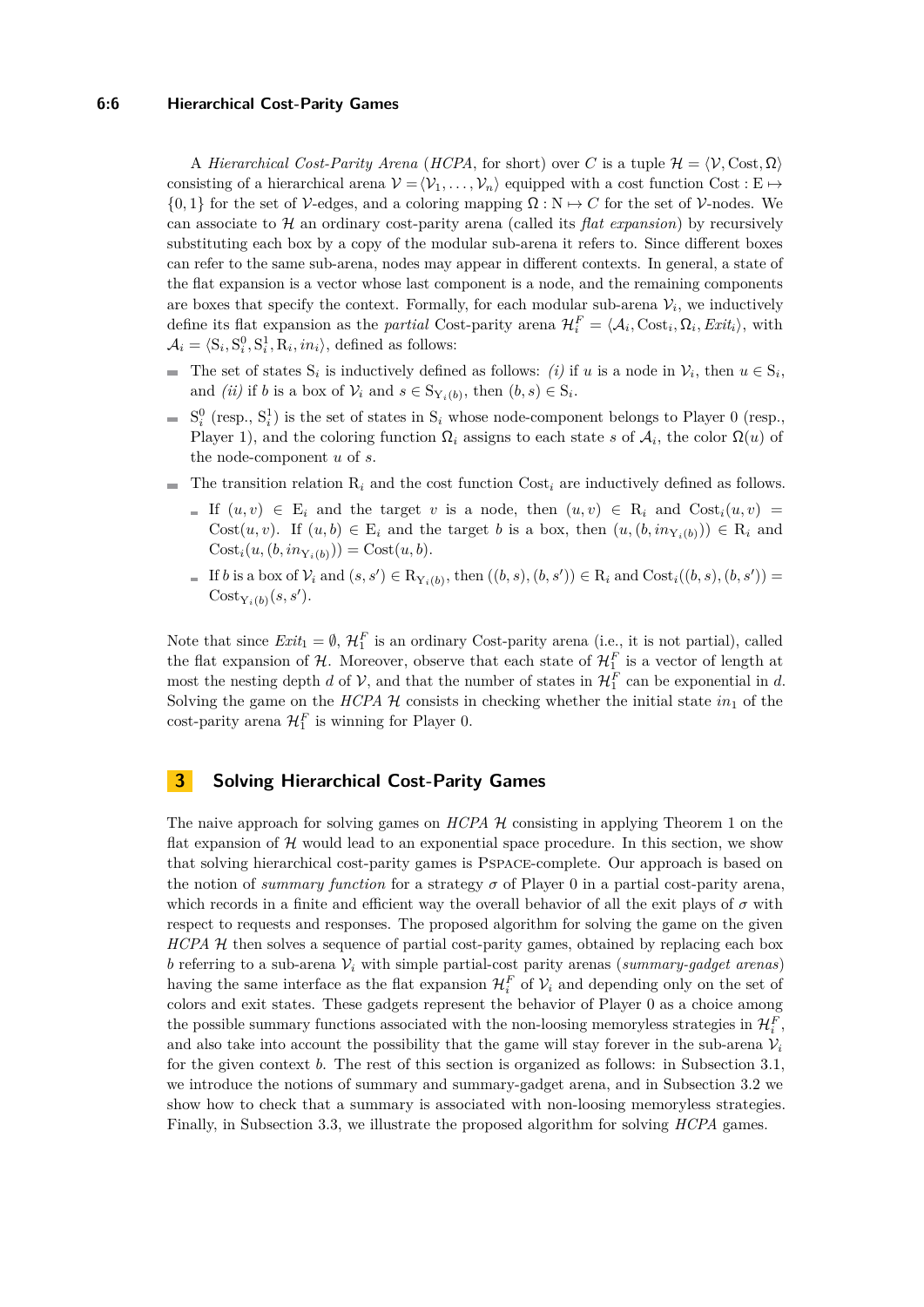#### **6:6 Hierarchical Cost-Parity Games**

A *Hierarchical Cost-Parity Arena* (*HCPA*, for short) over *C* is a tuple  $\mathcal{H} = \langle \mathcal{V}, \text{Cost}, \Omega \rangle$ consisting of a hierarchical arena  $\mathcal{V} = \langle \mathcal{V}_1, \ldots, \mathcal{V}_n \rangle$  equipped with a cost function Cost : E  $\mapsto$  $\{0,1\}$  for the set of V-edges, and a coloring mapping  $\Omega : \mathbb{N} \to C$  for the set of V-nodes. We can associate to H an ordinary cost-parity arena (called its *flat expansion*) by recursively substituting each box by a copy of the modular sub-arena it refers to. Since different boxes can refer to the same sub-arena, nodes may appear in different contexts. In general, a state of the flat expansion is a vector whose last component is a node, and the remaining components are boxes that specify the context. Formally, for each modular sub-arena  $V_i$ , we inductively define its flat expansion as the *partial* Cost-parity arena  $\mathcal{H}_i^F = \langle \mathcal{A}_i, \text{Cost}_i, \Omega_i, \text{Exit}_i \rangle$ , with  $A_i = \langle S_i, S_i^0, S_i^1, R_i, in_i \rangle$ , defined as follows:

- The set of states  $S_i$  is inductively defined as follows: *(i)* if *u* is a node in  $V_i$ , then  $u \in S_i$ , and *(ii)* if *b* is a box of  $\mathcal{V}_i$  and  $s \in S_{Y_i(b)}$ , then  $(b, s) \in S_i$ .
- $S_i^0$  (resp.,  $S_i^1$ ) is the set of states in  $S_i$  whose node-component belongs to Player 0 (resp.,  $\overline{\phantom{a}}$ Player 1), and the coloring function  $\Omega_i$  assigns to each state *s* of  $\mathcal{A}_i$ , the color  $\Omega(u)$  of the node-component *u* of *s*.
- The transition relation  $R_i$  and the cost function  $Cost_i$  are inductively defined as follows.  $\overline{\phantom{a}}$ 
	- If  $(u, v) \in E_i$  and the target v is a node, then  $(u, v) \in R_i$  and  $Cost_i(u, v) =$ Cost $(u, v)$ . If  $(u, b) \in E_i$  and the target *b* is a box, then  $(u, (b, in_{Y_i(b)})) \in R_i$  and  $Cost<sub>i</sub>(u, (b, in<sub>Y<sub>i</sub>(b))</sub>) = Cost(u, b).$
	- If *b* is a box of  $V_i$  and  $(s, s') \in R_{Y_i(b)}$ , then  $((b, s), (b, s')) \in R_i$  and  $Cost_i((b, s), (b, s'))$  $Cost_{Y_i(b)}(s, s').$

Note that since  $Exit_1 = \emptyset, \mathcal{H}_1^F$  is an ordinary Cost-parity arena (i.e., it is not partial), called the flat expansion of  $H$ . Moreover, observe that each state of  $H_1^F$  is a vector of length at most the nesting depth *d* of  $V$ , and that the number of states in  $\mathcal{H}_1^F$  can be exponential in *d*. Solving the game on the *HCPA*  $H$  consists in checking whether the initial state  $in_1$  of the  $\text{cost-parity}$  arena  $\mathcal{H}_1^F$  is winning for Player 0.

# <span id="page-5-0"></span>**3 Solving Hierarchical Cost-Parity Games**

The naive approach for solving games on *HCPA* H consisting in applying Theorem [1](#page-4-1) on the flat expansion of  $H$  would lead to an exponential space procedure. In this section, we show that solving hierarchical cost-parity games is Pspace-complete. Our approach is based on the notion of *summary function* for a strategy  $\sigma$  of Player 0 in a partial cost-parity arena, which records in a finite and efficient way the overall behavior of all the exit plays of  $\sigma$  with respect to requests and responses. The proposed algorithm for solving the game on the given *HCPA* H then solves a sequence of partial cost-parity games, obtained by replacing each box *b* referring to a sub-arena  $V_i$  with simple partial-cost parity arenas (*summary-gadget arenas*) having the same interface as the flat expansion  $\mathcal{H}_i^F$  of  $\mathcal{V}_i$  and depending only on the set of colors and exit states. These gadgets represent the behavior of Player 0 as a choice among the possible summary functions associated with the non-loosing memoryless strategies in  $\mathcal{H}_{i}^{F}$ , and also take into account the possibility that the game will stay forever in the sub-arena  $V_i$ for the given context *b*. The rest of this section is organized as follows: in Subsection [3.1,](#page-6-0) we introduce the notions of summary and summary-gadget arena, and in Subsection [3.2](#page-12-0) we show how to check that a summary is associated with non-loosing memoryless strategies. Finally, in Subsection [3.3,](#page-13-0) we illustrate the proposed algorithm for solving *HCPA* games.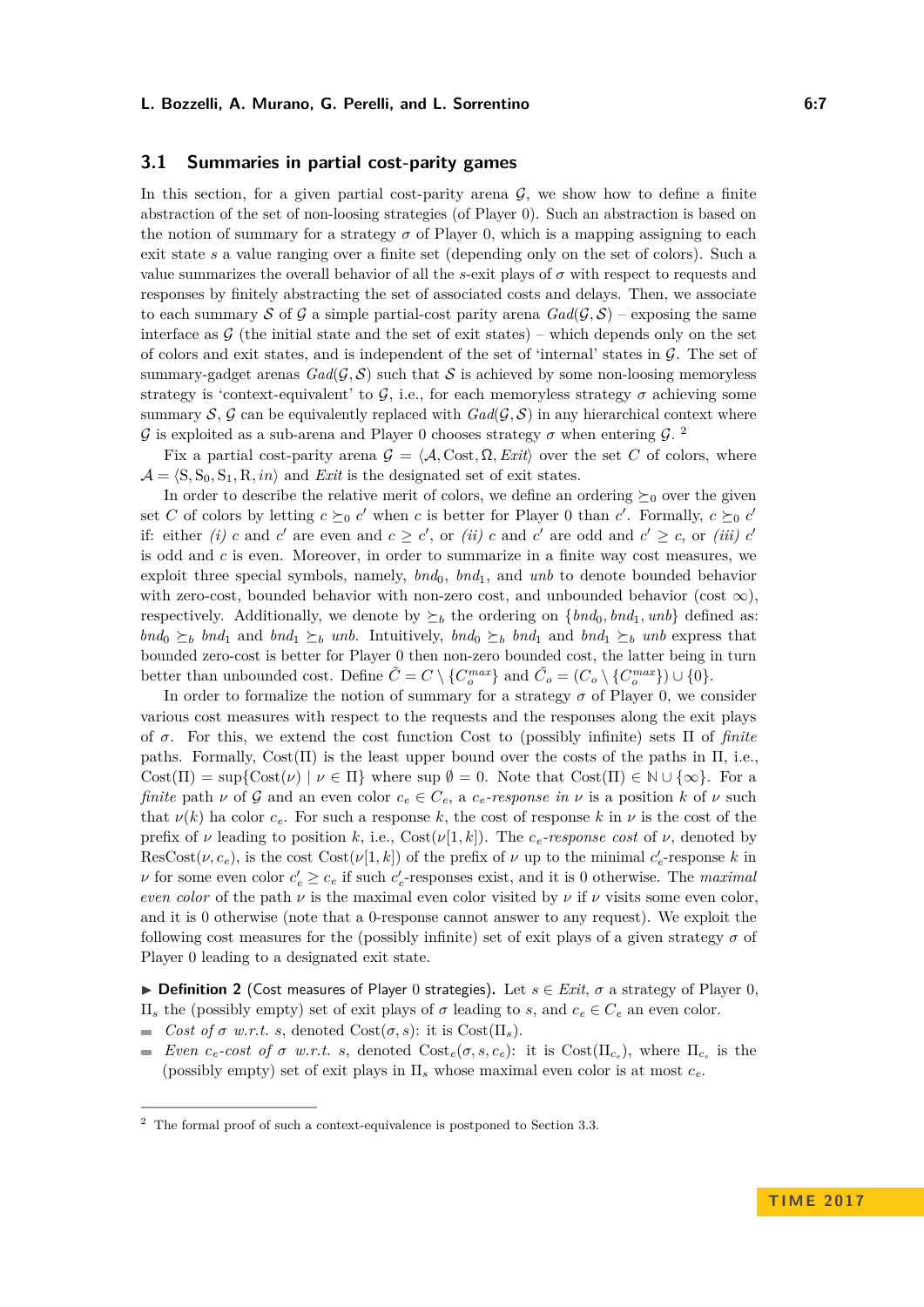# <span id="page-6-0"></span>**3.1 Summaries in partial cost-parity games**

In this section, for a given partial cost-parity arena  $G$ , we show how to define a finite abstraction of the set of non-loosing strategies (of Player 0). Such an abstraction is based on the notion of summary for a strategy  $\sigma$  of Player 0, which is a mapping assigning to each exit state *s* a value ranging over a finite set (depending only on the set of colors). Such a value summarizes the overall behavior of all the *s*-exit plays of  $\sigma$  with respect to requests and responses by finitely abstracting the set of associated costs and delays. Then, we associate to each summary S of G a simple partial-cost parity arena  $Gal(\mathcal{G}, \mathcal{S})$  – exposing the same interface as  $\mathcal G$  (the initial state and the set of exit states) – which depends only on the set of colors and exit states, and is independent of the set of 'internal' states in  $\mathcal G$ . The set of summary-gadget arenas  $Gal(\mathcal{G}, \mathcal{S})$  such that S is achieved by some non-loosing memoryless strategy is 'context-equivalent' to G, i.e., for each memoryless strategy  $\sigma$  achieving some summary  $S$ ,  $G$  can be equivalently replaced with  $Gal(G, S)$  in any hierarchical context where  $\mathcal G$  is exploited as a sub-arena and Player 0 chooses strategy  $\sigma$  when entering  $\mathcal G$ . <sup>[2](#page-6-1)</sup>

Fix a partial cost-parity arena  $\mathcal{G} = \langle \mathcal{A}, \text{Cost}, \Omega, \text{Exit} \rangle$  over the set *C* of colors, where  $\mathcal{A} = \langle S, S_0, S_1, R, in \rangle$  and *Exit* is the designated set of exit states.

In order to describe the relative merit of colors, we define an ordering  $\succeq_0$  over the given set *C* of colors by letting  $c \succeq_0 c'$  when *c* is better for Player 0 than *c*'. Formally,  $c \succeq_0 c'$ if: either *(i) c* and *c*' are even and  $c \geq c'$ , or *(ii) c* and *c*' are odd and  $c' \geq c$ , or *(iii)*  $c'$ is odd and *c* is even. Moreover, in order to summarize in a finite way cost measures, we exploit three special symbols, namely,  $bnd_0$ ,  $bnd_1$ , and  $unb$  to denote bounded behavior with zero-cost, bounded behavior with non-zero cost, and unbounded behavior (cost  $\infty$ ). respectively. Additionally, we denote by  $\succeq_b$  the ordering on  $\{bnd_0, bnd_1, amb\}$  defined as: *bnd*<sub>0</sub>  $\succeq_b$  *bnd*<sub>1</sub> and *bnd*<sub>1</sub>  $\succeq_b$  *unb*. Intuitively, *bnd*<sub>0</sub>  $\succeq_b$  *bnd*<sub>1</sub> and *bnd*<sub>1</sub>  $\succeq_b$  *unb* express that bounded zero-cost is better for Player 0 then non-zero bounded cost, the latter being in turn better than unbounded cost. Define  $\tilde{C} = C \setminus \{C_o^{max}\}\$  and  $\tilde{C}_o = (C_o \setminus \{C_o^{max}\}) \cup \{0\}.$ 

In order to formalize the notion of summary for a strategy  $\sigma$  of Player 0, we consider various cost measures with respect to the requests and the responses along the exit plays of *σ*. For this, we extend the cost function Cost to (possibly infinite) sets Π of *finite* paths. Formally,  $Cost(\Pi)$  is the least upper bound over the costs of the paths in  $\Pi$ , i.e., Cost( $\Pi$ ) = sup{Cost( $\nu$ ) |  $\nu \in \Pi$ } where sup  $\emptyset = 0$ . Note that Cost( $\Pi$ )  $\in \mathbb{N} \cup \{\infty\}$ . For a *finite* path  $\nu$  of G and an even color  $c_e \in C_e$ , a  $c_e$ -response in  $\nu$  is a position  $k$  of  $\nu$  such that  $\nu(k)$  ha color  $c_e$ . For such a response k, the cost of response k in  $\nu$  is the cost of the prefix of *ν* leading to position *k*, i.e.,  $\text{Cost}(\nu[1, k])$ . The *c*<sub>*e*</sub>-response cost of *ν*, denoted by  $\text{ResCost}(\nu, c_e)$ , is the cost  $\text{Cost}(\nu[1, k])$  of the prefix of  $\nu$  up to the minimal  $c'_e$ -response  $k$  in *ν* for some even color  $c'_{e} \geq c_{e}$  if such  $c'_{e}$ -responses exist, and it is 0 otherwise. The *maximal even color* of the path  $\nu$  is the maximal even color visited by  $\nu$  if  $\nu$  visits some even color. and it is 0 otherwise (note that a 0-response cannot answer to any request). We exploit the following cost measures for the (possibly infinite) set of exit plays of a given strategy  $\sigma$  of Player 0 leading to a designated exit state.

**► Definition 2** (Cost measures of Player 0 strategies). Let  $s \in Ext$ ,  $\sigma$  a strategy of Player 0, Π*<sup>s</sup>* the (possibly empty) set of exit plays of *σ* leading to *s*, and *c<sup>e</sup>* ∈ *C<sup>e</sup>* an even color.

- $\blacksquare$  *Cost of σ w.r.t. s*, denoted Cost(*σ*, *s*): it is Cost(Π<sub>*s*</sub>).
- *Even*  $c_e$ -cost of  $\sigma$  *w.r.t. s*, denoted  $Cost_e(\sigma, s, c_e)$ : it is  $Cost(\Pi_{c_e})$ , where  $\Pi_{c_e}$  is the (possibly empty) set of exit plays in Π*<sup>s</sup>* whose maximal even color is at most *ce*.

<span id="page-6-1"></span> $^{\rm 2}$  The formal proof of such a context-equivalence is postponed to Section [3.3.](#page-13-0)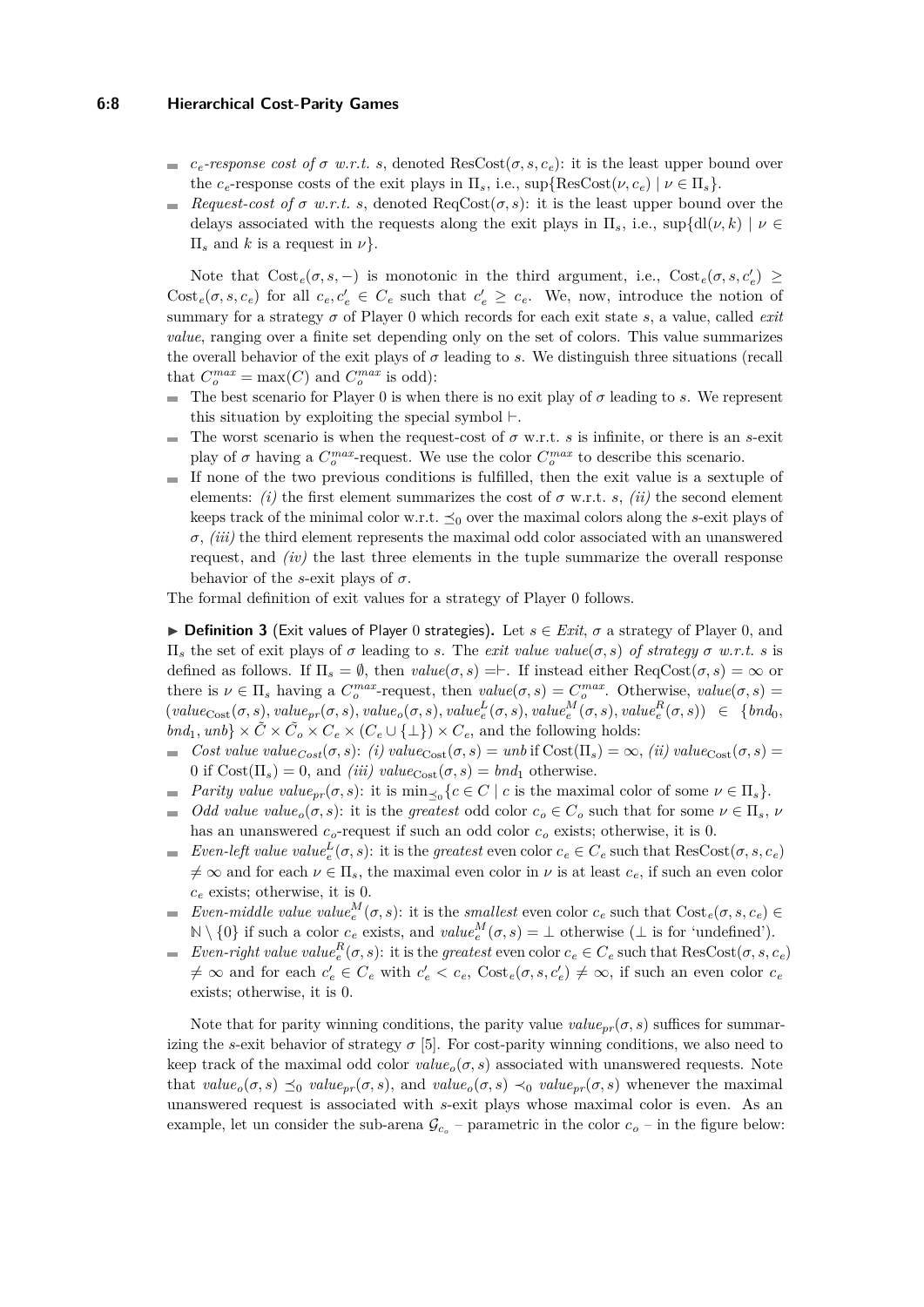#### **6:8 Hierarchical Cost-Parity Games**

- $c_e$ -response cost of  $\sigma$  w.r.t. s, denoted ResCost( $\sigma$ , s,  $c_e$ ): it is the least upper bound over the *c*<sub>e</sub>-response costs of the exit plays in  $\Pi_s$ , i.e.,  $\sup{\{\text{Res}}\text{Cost}(\nu, c_e) \mid \nu \in \Pi_s\}.$
- *Request-cost of*  $\sigma$  *w.r.t. s*, denoted  $\text{ReqCost}(\sigma, s)$ : it is the least upper bound over the m. delays associated with the requests along the exit plays in  $\Pi_s$ , i.e.,  $\sup\{d\mu(k) \mid \nu \in$  $\Pi_s$  and *k* is a request in  $\nu$ .

Note that  $Cost_e(\sigma, s, -)$  is monotonic in the third argument, i.e.,  $Cost_e(\sigma, s, c'_e) \ge$  $\text{Cost}_e(\sigma, s, c_e)$  for all  $c_e, c'_e \in C_e$  such that  $c'_e \geq c_e$ . We, now, introduce the notion of summary for a strategy *σ* of Player 0 which records for each exit state *s*, a value, called *exit value*, ranging over a finite set depending only on the set of colors. This value summarizes the overall behavior of the exit plays of  $\sigma$  leading to *s*. We distinguish three situations (recall that  $C_o^{max} = \max(C)$  and  $C_o^{max}$  is odd):

- The best scenario for Player 0 is when there is no exit play of  $\sigma$  leading to *s*. We represent this situation by exploiting the special symbol  $\vdash$ .
- The worst scenario is when the request-cost of *σ* w.r.t. *s* is infinite, or there is an *s*-exit  $\blacksquare$ play of  $\sigma$  having a  $C_o^{max}$ -request. We use the color  $C_o^{max}$  to describe this scenario.
- If none of the two previous conditions is fulfilled, then the exit value is a sextuple of  $\mathcal{L}_{\mathcal{A}}$ elements: *(i)* the first element summarizes the cost of  $\sigma$  w.r.t. *s*, *(ii)* the second element keeps track of the minimal color w.r.t.  $\preceq_0$  over the maximal colors along the *s*-exit plays of *σ*, *(iii)* the third element represents the maximal odd color associated with an unanswered request, and *(iv)* the last three elements in the tuple summarize the overall response behavior of the *s*-exit plays of  $\sigma$ .

The formal definition of exit values for a strategy of Player 0 follows.

<span id="page-7-0"></span>**► Definition 3** (Exit values of Player 0 strategies). Let  $s \in Ext$ ,  $\sigma$  a strategy of Player 0, and Π*<sup>s</sup>* the set of exit plays of *σ* leading to *s*. The *exit value value*(*σ, s*) *of strategy σ w.r.t. s* is defined as follows. If  $\Pi_s = \emptyset$ , then  $value(\sigma, s) = \vdash$ . If instead either ReqCost $(\sigma, s) = \infty$  or there is  $\nu \in \Pi_s$  having a  $C_o^{max}$ -request, then  $value(\sigma, s) = C_o^{max}$ . Otherwise,  $value(\sigma, s) =$  $(value_{Cost}(\sigma, s), value_{pr}(\sigma, s), value_o(\sigma, s), value_e^L(\sigma, s), value_e^M(\sigma, s), value_e^R(\sigma, s)) \in \{bnd_0,$  $bnd_1, unb\} \times \tilde{C} \times \tilde{C}_o \times C_e \times (C_e \cup \{\perp\}) \times C_e$ , and the following holds:

- $\blacksquare$  *Cost value value*<sub>*Cost*</sub>(*σ, s*): *(i) value*<sub>Cost</sub>(*σ, s*) = *unb* if Cost(Π<sub>*s*</sub>) = ∞, *(ii) value*<sub>Cost</sub>(*σ, s*) = 0 if  $Cost(\Pi_s) = 0$ , and *(iii) value*<sub>Cost</sub> $(\sigma, s) = bnd_1$  otherwise.
- *Parity value value*<sub>*pr*</sub>( $\sigma$ ,  $s$ ): it is min<sub> $\preceq$ </sub> { $c \in C \mid c$  is the maximal color of some  $\nu \in \Pi_s$ }.  $\equiv$
- *Odd value*  $value_o(\sigma, s)$ : it is the *greatest* odd color  $c_o \in C_o$  such that for some  $\nu \in \Pi_s$ ,  $\nu$  $\equiv$ has an unanswered *co*-request if such an odd color *c<sup>o</sup>* exists; otherwise, it is 0.
- *Even-left value value*<sup>*L*</sup>( $\sigma$ ,  $s$ ): it is the *greatest* even color  $c_e \in C_e$  such that ResCost( $\sigma$ ,  $s$ ,  $c_e$ )  $\neq \infty$  and for each  $\nu \in \Pi_s$ , the maximal even color in  $\nu$  is at least  $c_e$ , if such an even color *c<sup>e</sup>* exists; otherwise, it is 0.
- *Even-middle value*  $value_e^M(\sigma, s)$ : it is the *smallest* even color  $c_e$  such that  $Cost_e(\sigma, s, c_e)$  $\blacksquare$  $\mathbb{N} \setminus \{0\}$  if such a color  $c_e$  exists, and  $value_e^M(\sigma, s) = \bot$  otherwise ( $\bot$  is for 'undefined').
- *Even-right value value*<sup>*R*</sup><sub>*e*</sub>( $\sigma$ , *s*): it is the *greatest* even color  $c_e \in C_e$  such that ResCost( $\sigma$ ,  $s$ ,  $c_e$ )  $\neq \infty$  and for each  $c'_{e} \in C_{e}$  with  $c'_{e} < c_{e}$ ,  $Cost_{e}(\sigma, s, c'_{e}) \neq \infty$ , if such an even color  $c_{e}$ exists; otherwise, it is 0.

Note that for parity winning conditions, the parity value  $value_{pr}(\sigma, s)$  suffices for summarizing the *s*-exit behavior of strategy  $\sigma$  [\[5\]](#page-15-2). For cost-parity winning conditions, we also need to keep track of the maximal odd color  $value_o(\sigma, s)$  associated with unanswered requests. Note that  $value_o(\sigma, s) \preceq_0 value_{pr}(\sigma, s)$ , and  $value_o(\sigma, s) \preceq_0 value_{pr}(\sigma, s)$  whenever the maximal unanswered request is associated with *s*-exit plays whose maximal color is even. As an example, let un consider the sub-arena  $\mathcal{G}_{c_o}$  – parametric in the color  $c_o$  – in the figure below: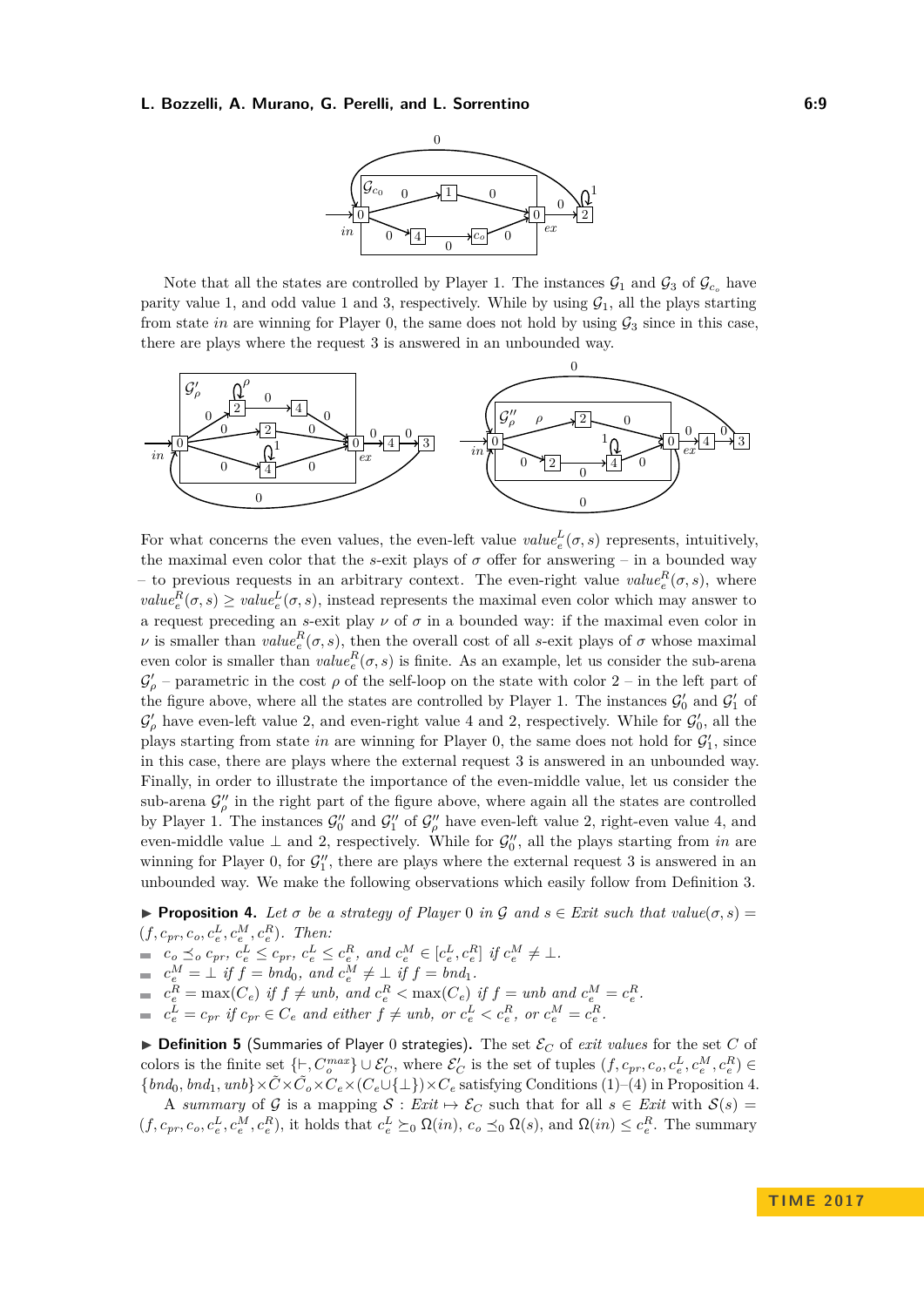

Note that all the states are controlled by Player 1. The instances  $\mathcal{G}_1$  and  $\mathcal{G}_3$  of  $\mathcal{G}_{c_o}$  have parity value 1, and odd value 1 and 3, respectively. While by using  $G_1$ , all the plays starting from state *in* are winning for Player 0, the same does not hold by using  $\mathcal{G}_3$  since in this case, there are plays where the request 3 is answered in an unbounded way.



For what concerns the even values, the even-left value  $value_e^L(\sigma, s)$  represents, intuitively, the maximal even color that the *s*-exit plays of  $\sigma$  offer for answering – in a bounded way – to previous requests in an arbitrary context. The even-right value  $\mathit{value}_{e}^{R}(\sigma, s)$ , where  $value_e^R(\sigma, s) \ge value_e^L(\sigma, s)$ , instead represents the maximal even color which may answer to a request preceding an *s*-exit play  $\nu$  of  $\sigma$  in a bounded way: if the maximal even color in *ν* is smaller than  $value_e^R(\sigma, s)$ , then the overall cost of all *s*-exit plays of  $\sigma$  whose maximal even color is smaller than  $value_e^R(\sigma, s)$  is finite. As an example, let us consider the sub-arena  $\mathcal{G}'_{\rho}$  – parametric in the cost  $\rho$  of the self-loop on the state with color 2 – in the left part of the figure above, where all the states are controlled by Player 1. The instances  $\mathcal{G}'_0$  and  $\mathcal{G}'_1$  of  $\mathcal{G}'_{\rho}$  have even-left value 2, and even-right value 4 and 2, respectively. While for  $\mathcal{G}'_0$ , all the plays starting from state *in* are winning for Player 0, the same does not hold for  $\mathcal{G}'_1$ , since in this case, there are plays where the external request 3 is answered in an unbounded way. Finally, in order to illustrate the importance of the even-middle value, let us consider the sub-arena  $\mathcal{G}_{\rho}''$  in the right part of the figure above, where again all the states are controlled by Player 1. The instances  $\mathcal{G}_0''$  and  $\mathcal{G}_1''$  of  $\mathcal{G}_\rho''$  have even-left value 2, right-even value 4, and even-middle value  $\perp$  and 2, respectively. While for  $\mathcal{G}'_0$ , all the plays starting from *in* are winning for Player 0, for  $\mathcal{G}_1''$ , there are plays where the external request 3 is answered in an unbounded way. We make the following observations which easily follow from Definition [3.](#page-7-0)

<span id="page-8-0"></span>**Proposition 4.** Let  $\sigma$  be a strategy of Player 0 in  $\mathcal{G}$  and  $s \in \mathcal{E}$  *axit* such that  $value(\sigma, s)$  $(f, c_{pr}, c_o, c_e^L, c_e^M, c_e^R)$ *. Then:* 

 $c_o \preceq_o c_{pr}, c_e^L \leq c_{pr}, c_e^L \leq c_e^R$ , and  $c_e^M \in [c_e^L, c_e^R]$  if  $c_e^M \neq \bot$ .

$$
\equiv c_e^M = \perp \text{ if } f = bnd_0, \text{ and } c_e^M \neq \perp \text{ if } f = bnd_1.
$$

 $c_e^R = \max(C_e)$  if  $f \neq unb$ , and  $c_e^R < \max(C_e)$  if  $f = unb$  and  $c_e^M = c_e^R$ .

 $c_e^L = c_{pr}$  if  $c_{pr} \in C_e$  and either  $f \neq unb$ , or  $c_e^L < c_e^R$ , or  $c_e^M = c_e^R$ .

 $\triangleright$  **Definition 5** (Summaries of Player 0 strategies). The set  $\mathcal{E}_C$  of *exit values* for the set *C* of colors is the finite set  $\{\vdash, C_o^{max}\} \cup \mathcal{E}_C'$ , where  $\mathcal{E}_C'$  is the set of tuples  $(f, c_{pr}, c_o, c_e^L, c_e^M, c_e^R) \in$  ${bnd_0, bnd_1, unb} \times \tilde{C} \times \tilde{C}_o \times C_e \times (C_e \cup \{\perp\}) \times C_e$  satisfying Conditions (1)–(4) in Proposition [4.](#page-8-0)

A *summary* of G is a mapping  $S: Ext \mapsto \mathcal{E}_C$  such that for all  $s \in Ext$  with  $S(s) =$  $(f, c_{pr}, c_o, c_e^L, c_e^M, c_e^R)$ , it holds that  $c_e^L \succeq_0 \Omega(in)$ ,  $c_o \preceq_0 \Omega(s)$ , and  $\Omega(in) \leq c_e^R$ . The summary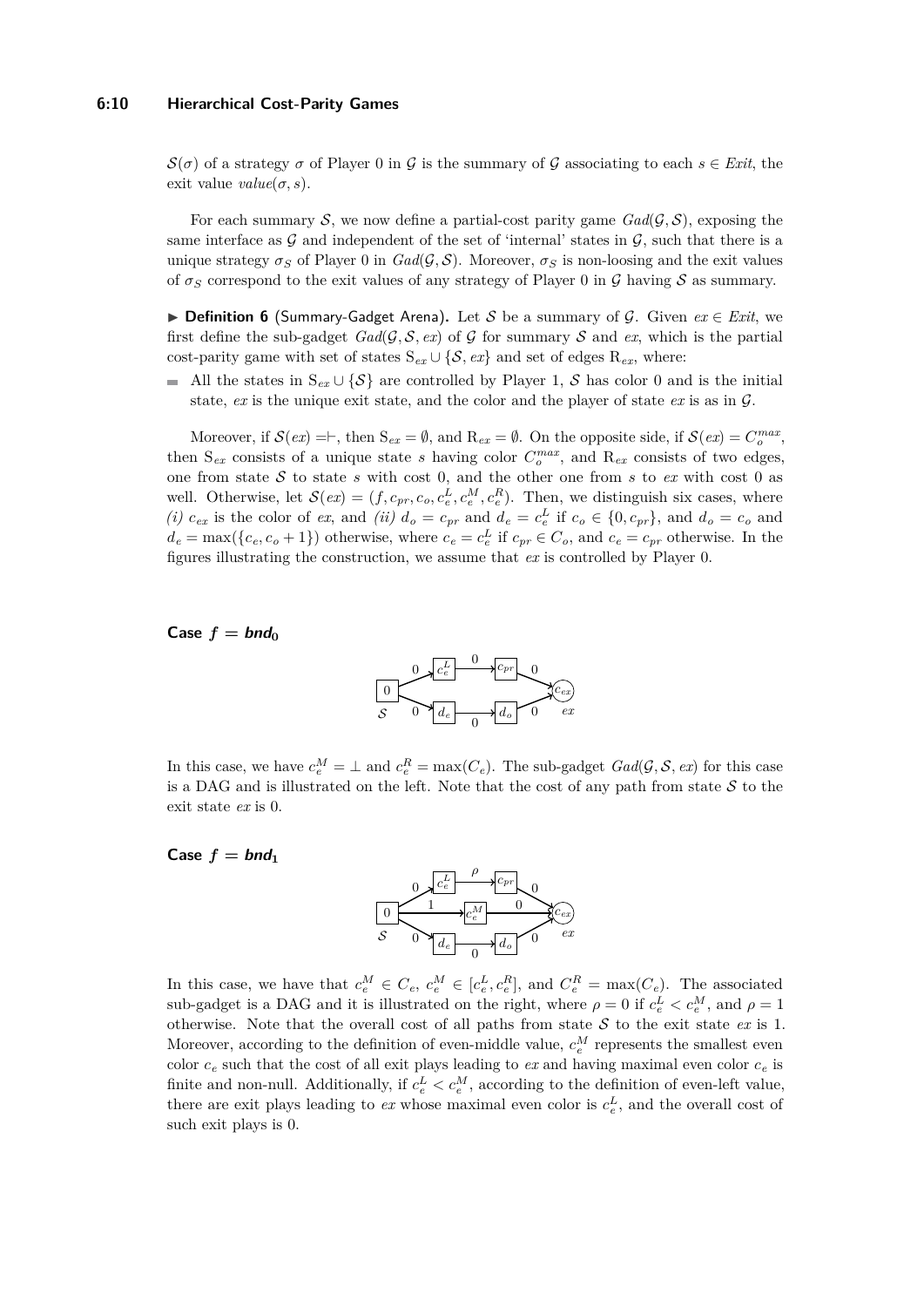#### **6:10 Hierarchical Cost-Parity Games**

 $S(\sigma)$  of a strategy  $\sigma$  of Player 0 in G is the summary of G associating to each  $s \in \text{Exit}$ , the exit value  $value(\sigma, s)$ .

For each summary S, we now define a partial-cost parity game  $\text{Gad}(\mathcal{G}, \mathcal{S})$ , exposing the same interface as  $\mathcal G$  and independent of the set of 'internal' states in  $\mathcal G$ , such that there is a unique strategy  $\sigma_S$  of Player 0 in  $Gal(\mathcal{G}, \mathcal{S})$ . Moreover,  $\sigma_S$  is non-loosing and the exit values of  $\sigma_S$  correspond to the exit values of any strategy of Player 0 in  $\mathcal G$  having  $\mathcal S$  as summary.

I **Definition 6** (Summary-Gadget Arena)**.** Let S be a summary of G. Given *ex* ∈ *Exit*, we first define the sub-gadget  $Gal(\mathcal{G}, \mathcal{S}, ex)$  of  $\mathcal{G}$  for summary  $\mathcal{S}$  and  $ex$ , which is the partial cost-parity game with set of states  $S_{ex} \cup \{S, ex\}$  and set of edges  $R_{ex}$ , where:

All the states in  $S_{ex} \cup {\mathcal{S}}$  are controlled by Player 1, S has color 0 and is the initial state, *ex* is the unique exit state, and the color and the player of state *ex* is as in G.

Moreover, if  $\mathcal{S}(ex) = \vdash$ , then  $S_{ex} = \emptyset$ , and  $R_{ex} = \emptyset$ . On the opposite side, if  $\mathcal{S}(ex) = C_o^{max}$ , then  $S_{ex}$  consists of a unique state *s* having color  $C_o^{max}$ , and  $R_{ex}$  consists of two edges, one from state S to state *s* with cost 0, and the other one from *s* to *ex* with cost 0 as well. Otherwise, let  $\mathcal{S}(ex) = (f, c_{pr}, c_o, c_e^L, c_e^M, c_e^R)$ . Then, we distinguish six cases, where (*i*)  $c_{ex}$  is the color of ex, and (*ii*)  $d_o = c_{pr}$  and  $d_e = c_e^L$  if  $c_o \in \{0, c_{pr}\}$ , and  $d_o = c_o$  and  $d_e = \max(\{c_e, c_o + 1\})$  otherwise, where  $c_e = c_e^L$  if  $c_{pr} \in C_o$ , and  $c_e = c_{pr}$  otherwise. In the figures illustrating the construction, we assume that *ex* is controlled by Player 0.

#### $\textsf{Case } f = \textit{bnd}_0$



In this case, we have  $c_e^M = \perp$  and  $c_e^R = \max(C_e)$ . The sub-gadget  $Gal(\mathcal{G}, \mathcal{S}, ex)$  for this case is a DAG and is illustrated on the left. Note that the cost of any path from state  $S$  to the exit state *ex* is 0.

# Case  $f = \text{bnd}_1$



In this case, we have that  $c_e^M \in C_e$ ,  $c_e^M \in [c_e^L, c_e^R]$ , and  $C_e^R = \max(C_e)$ . The associated sub-gadget is a DAG and it is illustrated on the right, where  $\rho = 0$  if  $c_e^L < c_e^M$ , and  $\rho = 1$ otherwise. Note that the overall cost of all paths from state  $S$  to the exit state  $ex$  is 1. Moreover, according to the definition of even-middle value,  $c_e^M$  represents the smallest even color  $c_e$  such that the cost of all exit plays leading to  $ex$  and having maximal even color  $c_e$  is finite and non-null. Additionally, if  $c_e^L < c_e^M$ , according to the definition of even-left value, there are exit plays leading to  $ex$  whose maximal even color is  $c_e^L$ , and the overall cost of such exit plays is 0.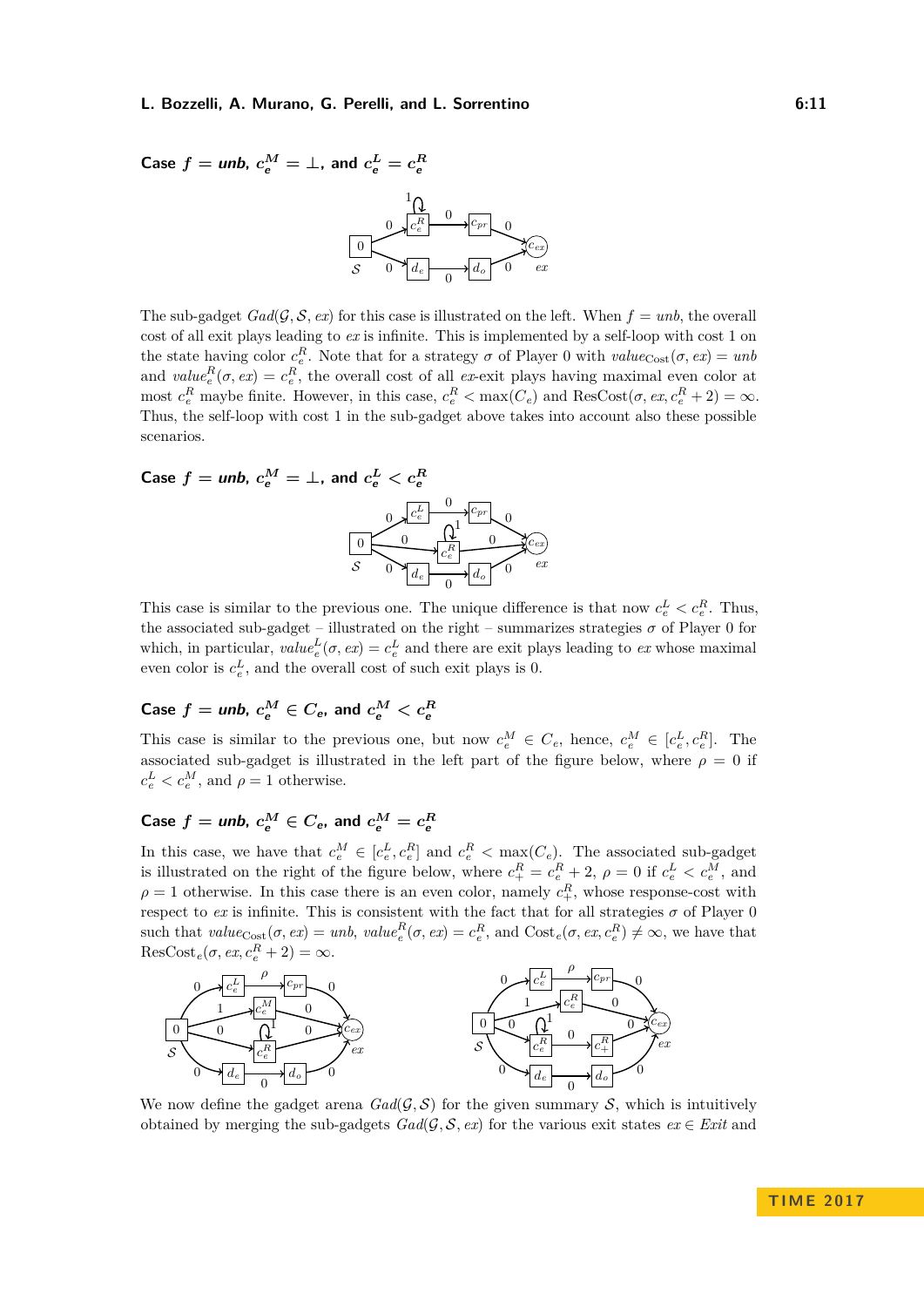Case 
$$
f =
$$
 **unb.**  $c_e^M = \perp$ , and  $c_e^L = c_e^R$   

$$
\underbrace{\frac{1}{\sqrt{C_e^R}}}_{S} \underbrace{\frac{1}{\sqrt{C_{e}}}}_{Q} \underbrace{\frac{1}{\sqrt{C_{er}}}}_{Q}
$$

$$
\underbrace{\frac{1}{\sqrt{C_{ex}}}}_{S} \underbrace{\frac{1}{\sqrt{C_{ex}}}}_{Q} \underbrace{\frac{1}{\sqrt{C_{ex}}}}_{Q}
$$

The sub-gadget  $Gal(\mathcal{G}, \mathcal{S}, ex)$  for this case is illustrated on the left. When  $f = unb$ , the overall cost of all exit plays leading to *ex* is infinite. This is implemented by a self-loop with cost 1 on the state having color  $c_e^R$ . Note that for a strategy  $\sigma$  of Player 0 with  $value_{Cost}(\sigma, ex) = unb$ and  $value_e^R(\sigma, ex) = c_e^R$ , the overall cost of all *ex*-exit plays having maximal even color at most  $c_e^R$  maybe finite. However, in this case,  $c_e^R < \max(C_e)$  and  $\text{ResCost}(\sigma, ex, c_e^R + 2) = \infty$ . Thus, the self-loop with cost 1 in the sub-gadget above takes into account also these possible scenarios.

Case 
$$
f =
$$
 **unb.**  $c_e^M = \perp$ , and  $c_e^L < c_e^R$   
\n
$$
\underbrace{\left(0, \frac{c_e^L}{c_e^R}\right) \cdot \left(0, \frac{c_{pr}}{c_e^R}\right) \cdot \left(0, \frac{c_{pr}}{c_e^R}\right) \cdot \left(0, \frac{c_{rx}}{c_e^R}\right) \cdot \left(0, \frac{c_{rx}}{c_e^R}\right) \cdot \left(0, \frac{c_{rx}}{c_e^R}\right) \cdot \left(0, \frac{c_{rx}}{c_e^R}\right) \cdot \left(0, \frac{c_{rx}}{c_e^R}\right) \cdot \left(0, \frac{c_{rx}}{c_e^R}\right) \cdot \left(0, \frac{c_{rx}}{c_e^R}\right) \cdot \left(0, \frac{c_{rx}}{c_e^R}\right) \cdot \left(0, \frac{c_{rx}}{c_e^R}\right) \cdot \left(0, \frac{c_{rx}}{c_e^R}\right) \cdot \left(0, \frac{c_{rx}}{c_e^R}\right) \cdot \left(0, \frac{c_{rx}}{c_e^R}\right) \cdot \left(0, \frac{c_{rx}}{c_e^R}\right) \cdot \left(0, \frac{c_{rx}}{c_e^R}\right) \cdot \left(0, \frac{c_{rx}}{c_e^R}\right) \cdot \left(0, \frac{c_{rx}}{c_e^R}\right) \cdot \left(0, \frac{c_{rx}}{c_e^R}\right) \cdot \left(0, \frac{c_{rx}}{c_e^R}\right) \cdot \left(0, \frac{c_{rx}}{c_e^R}\right) \cdot \left(0, \frac{c_{rx}}{c_e^R}\right) \cdot \left(0, \frac{c_{rx}}{c_e^R}\right) \cdot \left(0, \frac{c_{rx}}{c_e^R}\right) \cdot \left(0, \frac{c_{rx}}{c_e^R}\right) \cdot \left(0, \frac{c_{rx}}{c_e^R}\right) \cdot \left(0, \frac{c_{rx}}{c_e^R}\right) \cdot \left(0, \frac{c_{rx}}{c_e^R}\right) \cdot \left(0, \frac{c_{rx}}{c_e^R}\right) \cdot \left(0, \frac{c_{rx}}{c_e^R}\right) \cdot \left(0, \frac{c_{rx}}{c_e^R}\right) \cdot \left(0, \
$$

This case is similar to the previous one. The unique difference is that now  $c_e^L < c_e^R$ . Thus, the associated sub-gadget – illustrated on the right – summarizes strategies  $\sigma$  of Player 0 for which, in particular,  $value_e^L(\sigma, ex) = c_e^L$  and there are exit plays leading to *ex* whose maximal even color is  $c_e^L$ , and the overall cost of such exit plays is 0.

# $\mathbf{Case} \ \mathit{f} = \mathit{unb}, \ \mathit{c}_{e}^{M} \in C_{e}, \ \text{and} \ \mathit{c}_{e}^{M} < \mathit{c}_{e}^{R}$

This case is similar to the previous one, but now  $c_e^M \in C_e$ , hence,  $c_e^M \in [c_e^L, c_e^R]$ . The associated sub-gadget is illustrated in the left part of the figure below, where  $\rho = 0$  if  $c_e^L < c_e^M$ , and  $\rho = 1$  otherwise.

# $\mathbf{Case} \ \mathbf{f} = \mathbf{unb}, \ \mathbf{c}_{e}^{M} \in C_{e}, \ \text{and} \ \mathbf{c}_{e}^{M} = \mathbf{c}_{e}^{R}$

In this case, we have that  $c_e^M \in [c_e^L, c_e^R]$  and  $c_e^R < \max(C_e)$ . The associated sub-gadget is illustrated on the right of the figure below, where  $c_{+}^{R} = c_{e}^{R} + 2$ ,  $\rho = 0$  if  $c_{e}^{L} < c_{e}^{M}$ , and  $\rho = 1$  otherwise. In this case there is an even color, namely  $c_{+}^{R}$ , whose response-cost with respect to  $ex$  is infinite. This is consistent with the fact that for all strategies  $\sigma$  of Player 0 such that  $value_{\text{Cost}}(\sigma, ex) = unb, value_e^R(\sigma, ex) = c_e^R$ , and  $\text{Cost}_e(\sigma, ex, c_e^R) \neq \infty$ , we have that  $\text{ResCost}_e(\sigma, ex, c_e^R + 2) = \infty.$ 



We now define the gadget arena  $Gal(\mathcal{G}, \mathcal{S})$  for the given summary  $\mathcal{S}$ , which is intuitively obtained by merging the sub-gadgets  $Gal(\mathcal{G}, \mathcal{S}, ex)$  for the various exit states  $ex \in Ext$  and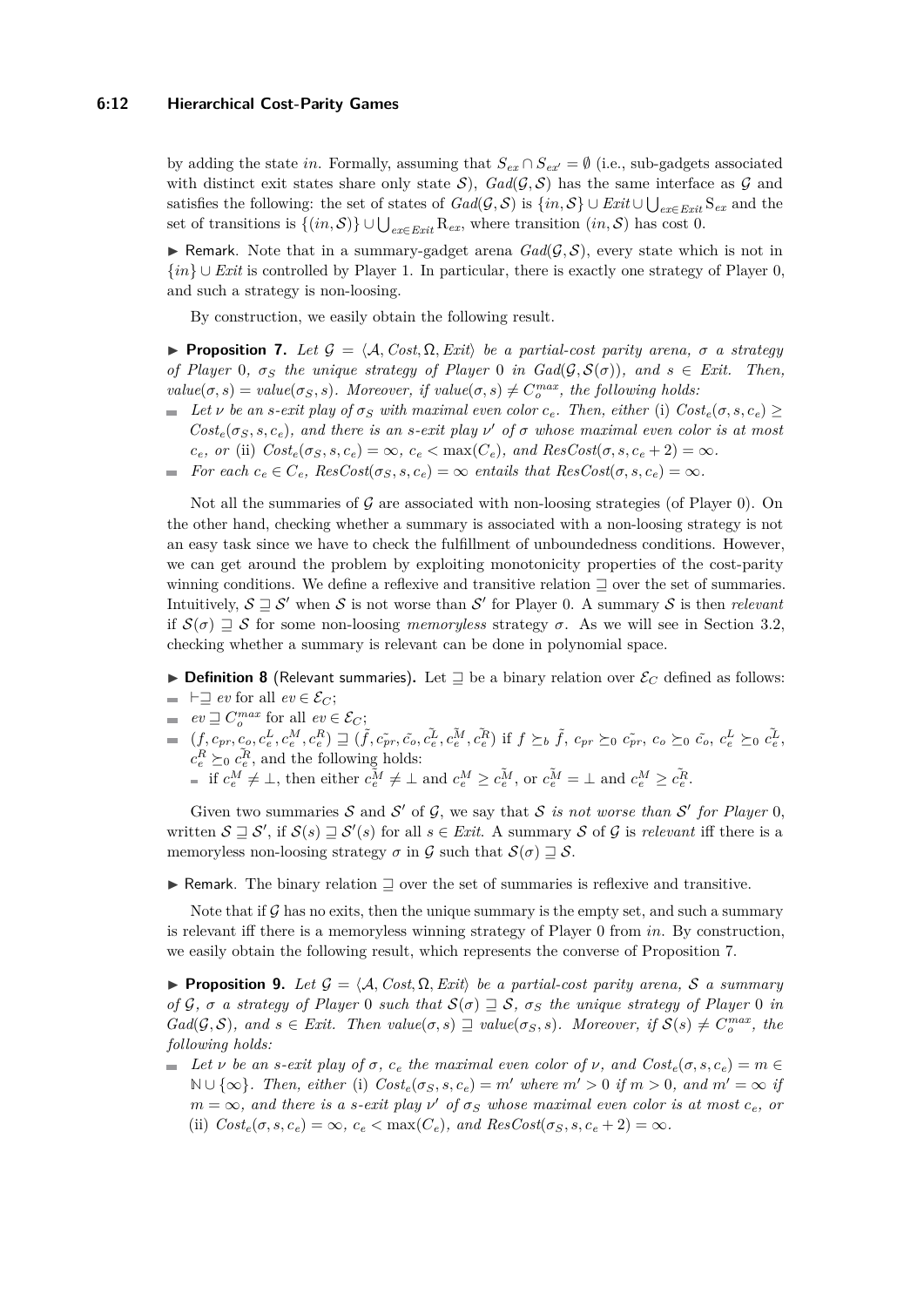#### **6:12 Hierarchical Cost-Parity Games**

by adding the state *in*. Formally, assuming that  $S_{ex} \cap S_{ex'} = \emptyset$  (i.e., sub-gadgets associated with distinct exit states share only state  $S$ ,  $Gal(\mathcal{G}, \mathcal{S})$  has the same interface as  $\mathcal G$  and satisfies the following: the set of states of  $Gal(\mathcal{G}, \mathcal{S})$  is  $\{in, \mathcal{S}\} \cup Ext \cup \bigcup_{ex \in Ext} S_{ex}$  and the set of transitions is  $\{(in, \mathcal{S})\} \cup \bigcup_{ex \in Ext} R_{ex}$ , where transition  $(in, \mathcal{S})$  has cost 0.

**I** Remark. Note that in a summary-gadget arena  $Gal(\mathcal{G}, \mathcal{S})$ , every state which is not in {*in*} ∪ *Exit* is controlled by Player 1. In particular, there is exactly one strategy of Player 0, and such a strategy is non-loosing.

By construction, we easily obtain the following result.

<span id="page-11-0"></span>**Proposition 7.** *Let*  $\mathcal{G} = \langle \mathcal{A}, \mathit{Cost}, \Omega, \mathit{Exit} \rangle$  *be a partial-cost parity arena,*  $\sigma$  *a strategy of Player* 0*,*  $\sigma_S$  *the unique strategy of Player* 0 *in*  $Gal(\mathcal{G}, \mathcal{S}(\sigma))$ *, and*  $s \in Ext$ *. Then,*  $value(\sigma, s) = value(\sigma_S, s)$ . Moreover, if  $value(\sigma, s) \neq C_o^{max}$ , the following holds:

- $\blacktriangleright$  *Let ν be an s-exit play of*  $\sigma_S$  *with maximal even color*  $c_e$ *. Then, either* (i)  $Cost_e(\sigma, s, c_e) \geq$  $Cost_e(\sigma_S, s, c_e)$ *, and there is an s-exit play*  $\nu'$  *of*  $\sigma$  *whose maximal even color is at most*  $c_e$ *, or* (ii)  $Cost_e(\sigma_S, s, c_e) = \infty$ *, c<sub>e</sub>* < max( $C_e$ *), and ResCost*( $\sigma, s, c_e + 2$ ) =  $\infty$ *.*
- *For each*  $c_e \in C_e$ ,  $ResCost(\sigma_S, s, c_e) = \infty$  *entails that*  $ResCost(\sigma, s, c_e) = \infty$ *.*

Not all the summaries of  $\mathcal G$  are associated with non-loosing strategies (of Player 0). On the other hand, checking whether a summary is associated with a non-loosing strategy is not an easy task since we have to check the fulfillment of unboundedness conditions. However, we can get around the problem by exploiting monotonicity properties of the cost-parity winning conditions. We define a reflexive and transitive relation  $\Box$  over the set of summaries. Intuitively,  $S \sqsupseteq S'$  when S is not worse than S' for Player 0. A summary S is then *relevant* if  $S(\sigma) \supseteq S$  for some non-loosing *memoryless* strategy  $\sigma$ . As we will see in Section [3.2,](#page-12-0) checking whether a summary is relevant can be done in polynomial space.

- **Definition 8** (Relevant summaries). Let  $\supseteq$  be a binary relation over  $\mathcal{E}_C$  defined as follows:  $\blacksquare$  **h**  $\supseteq$  *ev* for all *ev* ∈  $\mathcal{E}_C$ ;
- $ev \sqsupseteq C_o^{max}$  for all  $ev \in \mathcal{E}_C$ ;
- $\tilde{e}v \stackrel{\text{def}}{=} C_o$  for an  $\tilde{e}v \in \mathcal{C}C$ ,<br>  $(f, c_{pr}, c_o, c_e^L, c_e^M, c_e^R) \supseteq (\tilde{f}, \tilde{c}_{pr}, \tilde{c}_o, \tilde{c}_e^L, c_e^{\tilde{M}}, \tilde{c}_e^{\tilde{M}})$  if  $f \succeq_b \tilde{f}, c_{pr} \succeq_0 \tilde{c}_{pr}, c_o \succeq_0 \tilde{c}_o, c_e^L \succeq_0 \tilde{c}_e^L$ ,  $c_e^R \succeq_0 c_e^{\tilde{R}}$ , and the following holds: if  $c_e^M \neq \bot$ , then either  $c_e^{\tilde{M}} \neq \bot$  and  $c_e^M \geq c_e^{\tilde{M}}$ , or  $c_e^{\tilde{M}} = \bot$  and  $c_e^M \geq c_e^{\tilde{R}}$ .

Given two summaries  $S$  and  $S'$  of  $G$ , we say that  $S$  *is not worse than*  $S'$  for Player 0, written  $S \sqsupseteq S'$ , if  $S(s) \sqsupseteq S'(s)$  for all  $s \in Ext$ . A summary S of G is *relevant* iff there is a memoryless non-loosing strategy  $\sigma$  in  $\mathcal G$  such that  $\mathcal S(\sigma) \supseteq \mathcal S$ .

 $\triangleright$  Remark. The binary relation  $\exists$  over the set of summaries is reflexive and transitive.

Note that if  $\mathcal G$  has no exits, then the unique summary is the empty set, and such a summary is relevant iff there is a memoryless winning strategy of Player 0 from *in*. By construction, we easily obtain the following result, which represents the converse of Proposition [7.](#page-11-0)

<span id="page-11-1"></span>**Proposition 9.** Let  $\mathcal{G} = \{A, Cost, \Omega, Ext\}$  be a partial-cost parity arena, S a summary *of*  $G$ *,*  $\sigma$  *a strategy of Player* 0 *such that*  $S(\sigma) \supseteq S$ *,*  $\sigma_S$  *the unique strategy of Player* 0 *in*  $Gad(\mathcal{G}, \mathcal{S})$ , and  $s \in \text{Exit}$ . Then  $value(\sigma, s) \supseteq value(\sigma_S, s)$ . Moreover, if  $\mathcal{S}(s) \neq C_o^{max}$ , the *following holds:*

 $\blacktriangleright$  *Let ν be an s-exit play of*  $\sigma$ *,*  $c_e$  *<i>the maximal even color of*  $\nu$ , and  $Cost_e(\sigma, s, c_e) = m \in$ **N** ∪ {∞}*. Then, either* (i)  $Cost_e(\sigma_S, s, c_e) = m'$  where  $m' > 0$  if  $m > 0$ *, and*  $m' = ∞$  if  $m = \infty$ *, and there is a s-exit play*  $\nu'$  *of*  $\sigma_S$  *whose maximal even color is at most*  $c_e$ *, or* (ii)  $Cost_e(\sigma, s, c_e) = \infty$ ,  $c_e < \max(C_e)$ , and  $ResCost(\sigma_S, s, c_e + 2) = \infty$ .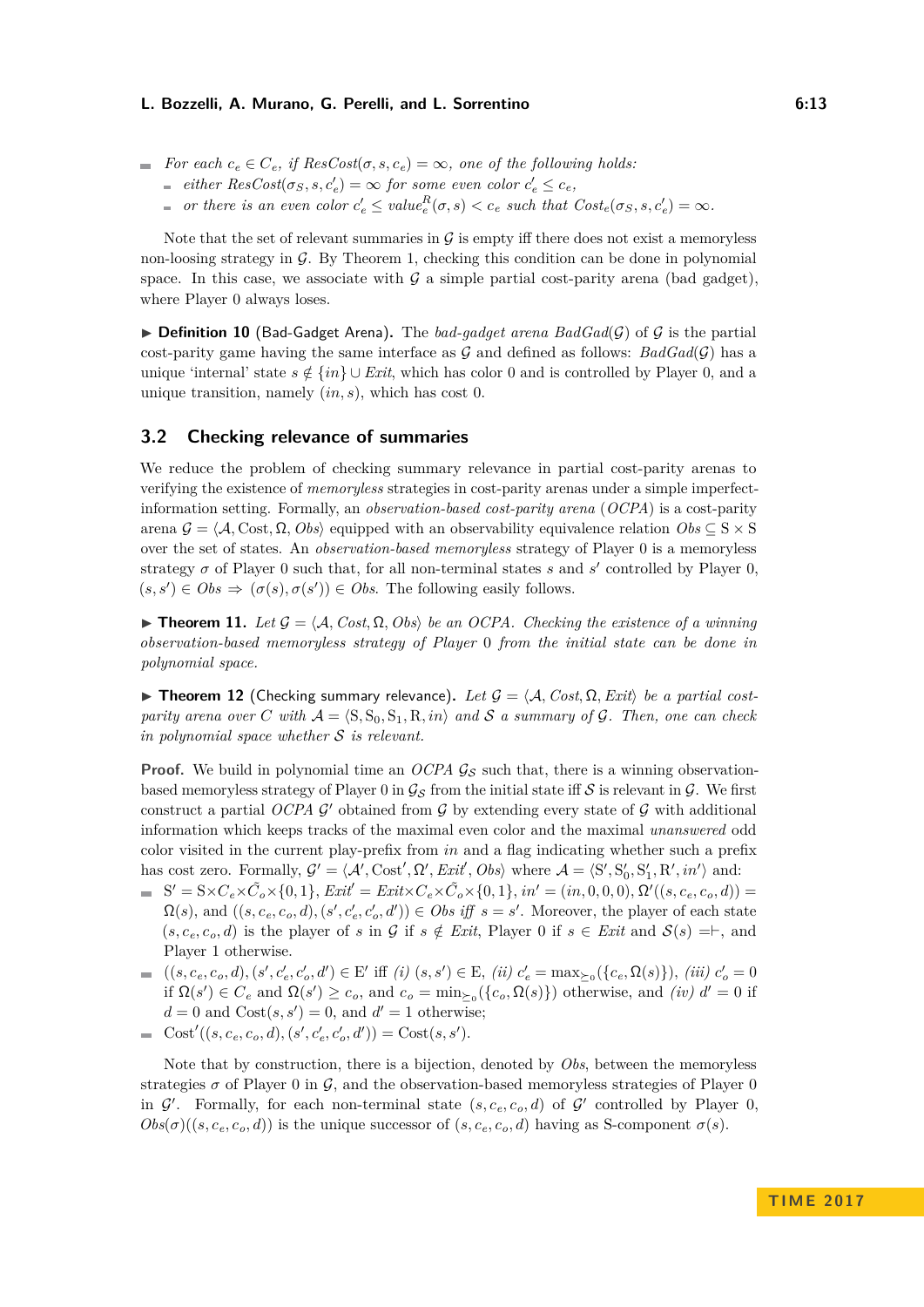- $F$  *For each*  $c_e$  ∈  $C_e$ *, if ResCost*(*σ, s, c<sub>e</sub>*) = ∞*, one of the following holds:* 
	- $e^{i}$ *either ResCost*( $\sigma_S$ ,  $s$ ,  $c'_e$ ) = ∞ *for some even color*  $c'_e \leq c_e$ ,
	- *or there is an even color*  $c'_e \leq value_e^R(\sigma, s) < c_e$  *such that*  $Cost_e(\sigma_s, s, c'_e) = \infty$ *.*

Note that the set of relevant summaries in  $G$  is empty iff there does not exist a memoryless non-loosing strategy in  $G$ . By Theorem [1,](#page-4-1) checking this condition can be done in polynomial space. In this case, we associate with  $G$  a simple partial cost-parity arena (bad gadget), where Player 0 always loses.

 $\triangleright$  **Definition 10** (Bad-Gadget Arena). The *bad-gadget arena BadGad(G)* of G is the partial cost-parity game having the same interface as  $G$  and defined as follows:  $BadGal(G)$  has a unique 'internal' state  $s \notin \{in\} \cup Ext$ , which has color 0 and is controlled by Player 0, and a unique transition, namely (*in, s*), which has cost 0.

# <span id="page-12-0"></span>**3.2 Checking relevance of summaries**

We reduce the problem of checking summary relevance in partial cost-parity arenas to verifying the existence of *memoryless* strategies in cost-parity arenas under a simple imperfectinformation setting. Formally, an *observation-based cost-parity arena* (*OCPA*) is a cost-parity arena  $\mathcal{G} = \langle \mathcal{A}, \text{Cost}, \Omega, \text{Obs} \rangle$  equipped with an observability equivalence relation  $Obs \subseteq S \times S$ over the set of states. An *observation-based memoryless* strategy of Player 0 is a memoryless strategy  $\sigma$  of Player 0 such that, for all non-terminal states  $s$  and  $s'$  controlled by Player 0,  $(s, s') \in Obs \Rightarrow (\sigma(s), \sigma(s')) \in Obs$ . The following easily follows.

<span id="page-12-1"></span> $▶$  **Theorem 11.** *Let*  $G = \langle A, Cost, \Omega, Obs \rangle$  *be an OCPA. Checking the existence of a winning observation-based memoryless strategy of Player* 0 *from the initial state can be done in polynomial space.*

<span id="page-12-2"></span>**Figure 12** (Checking summary relevance). Let  $\mathcal{G} = \{A, Cost, \Omega, Ext\}$  be a partial cost*parity arena over C* with  $A = \langle S, S_0, S_1, R, in \rangle$  and S a summary of G. Then, one can check *in polynomial space whether* S *is relevant.*

**Proof.** We build in polynomial time an *OCPA*  $\mathcal{G}_{\mathcal{S}}$  such that, there is a winning observationbased memoryless strategy of Player 0 in  $\mathcal{G}_S$  from the initial state iff S is relevant in  $\mathcal{G}$ . We first construct a partial  $OCPA$   $G'$  obtained from  $G$  by extending every state of  $G$  with additional information which keeps tracks of the maximal even color and the maximal *unanswered* odd color visited in the current play-prefix from *in* and a flag indicating whether such a prefix has cost zero. Formally,  $G' = \langle A', \text{Cost}', \Omega', \text{Exit}, \text{Obs} \rangle$  where  $A = \langle S', S'_0, S'_1, R', \text{in'} \rangle$  and:

- $S' = S \times C_e \times \tilde{C}_o \times \{0, 1\},$   $Exit' = Exist \times C_e \times \tilde{C}_o \times \{0, 1\},$   $in' = (in, 0, 0, 0),$   $\Omega'((s, c_e, c_o, d)) =$  $\Omega(s)$ , and  $((s, c_e, c_o, d), (s', c'_e, c'_o, d')) \in Obs$  iff  $s = s'$ . Moreover, the player of each state  $(s, c_e, c_o, d)$  is the player of *s* in G if  $s \notin \text{Exit}$ , Player 0 if  $s \in \text{Exit}$  and  $\mathcal{S}(s) = \vdash$ , and Player 1 otherwise.
- $((s, c_e, c_o, d), (s', c'_e, c'_o, d') \in E'$  iff  $(i)$   $(s, s') \in E$ ,  $(ii)$   $c'_e = \max_{\succeq_0} (\{c_e, \Omega(s)\})$ ,  $(iii)$   $c'_o = 0$ if  $\Omega(s') \in C_e$  and  $\Omega(s') \ge c_o$ , and  $c_o = \min_{\ge 0} (\{c_o, \Omega(s)\})$  otherwise, and *(iv)*  $d' = 0$  if  $d = 0$  and  $Cost(s, s') = 0$ , and  $d' = 1$  otherwise;
- $Cost'((s, c_e, c_o, d), (s', c'_e, c'_o, d')) = Cost(s, s').$

Note that by construction, there is a bijection, denoted by *Obs*, between the memoryless strategies  $\sigma$  of Player 0 in  $\mathcal{G}$ , and the observation-based memoryless strategies of Player 0 in  $\mathcal{G}'$ . Formally, for each non-terminal state  $(s, c_e, c_o, d)$  of  $\mathcal{G}'$  controlled by Player 0,  $Obs(\sigma)((s, c_e, c_o, d))$  is the unique successor of  $(s, c_e, c_o, d)$  having as S-component  $\sigma(s)$ .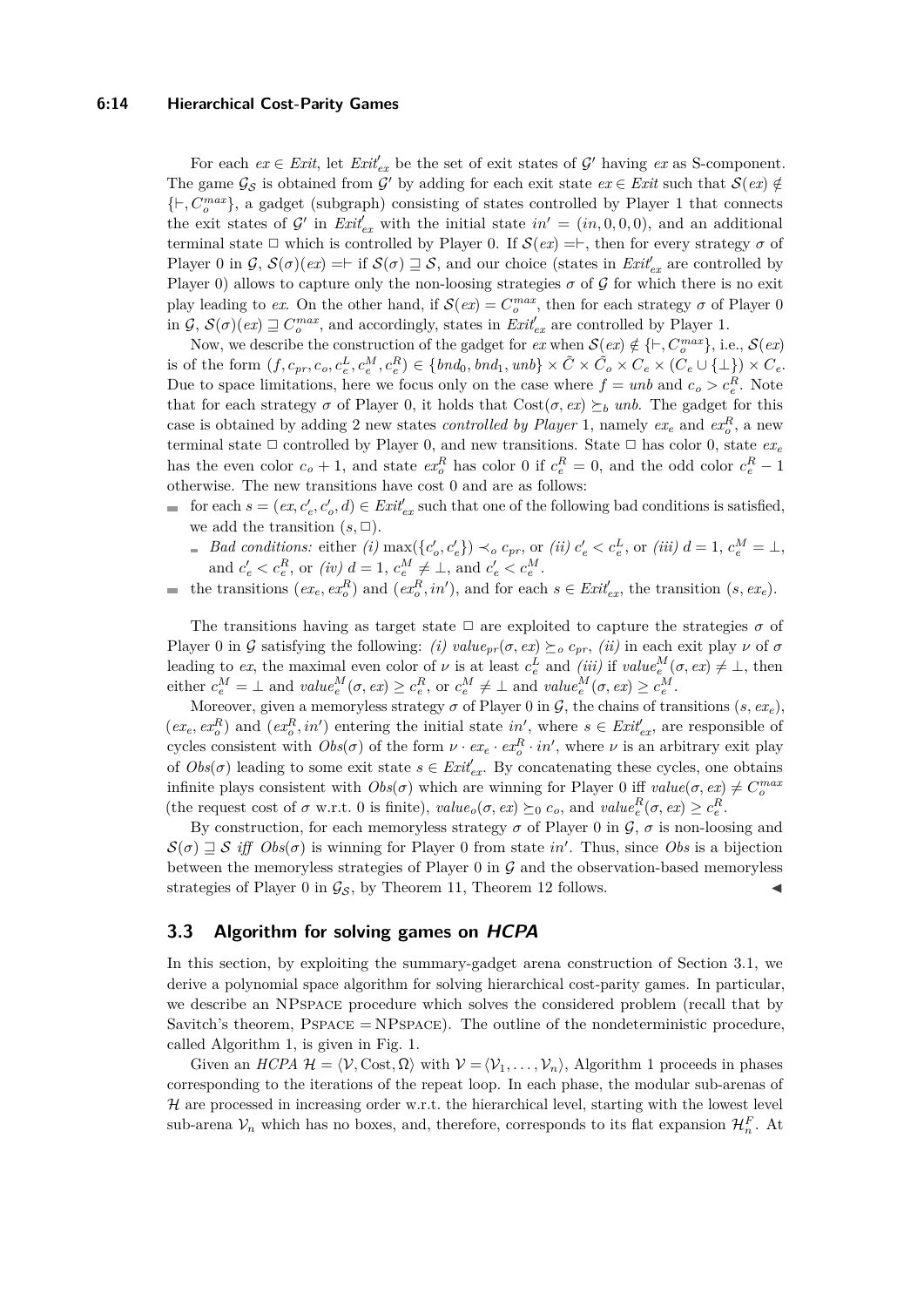#### **6:14 Hierarchical Cost-Parity Games**

For each  $ex \in Ext$ , let  $Exit'_{ex}$  be the set of exit states of  $\mathcal{G}'$  having  $ex$  as S-component. The game  $\mathcal{G}_{\mathcal{S}}$  is obtained from  $\mathcal{G}'$  by adding for each exit state  $ex \in Erit$  such that  $\mathcal{S}(ex) \notin$  $\{\vdash, C_o^{max}\}$ , a gadget (subgraph) consisting of states controlled by Player 1 that connects the exit states of  $\mathcal{G}'$  in  $\text{Exit}_{ex}'$  with the initial state  $in' = (in, 0, 0, 0)$ , and an additional terminal state  $\Box$  which is controlled by Player 0. If  $\mathcal{S}(ex) = \vdash$ , then for every strategy  $\sigma$  of Player 0 in  $\mathcal{G}, \mathcal{S}(\sigma)(ex) = \vdash$  if  $\mathcal{S}(\sigma) \sqsupseteq \mathcal{S}$ , and our choice (states in  $\mathit{Exit}_{ex}$  are controlled by Player 0) allows to capture only the non-loosing strategies  $\sigma$  of  $\mathcal G$  for which there is no exit play leading to *ex*. On the other hand, if  $\mathcal{S}(ex) = C_o^{max}$ , then for each strategy  $\sigma$  of Player 0 in  $G$ ,  $S(\sigma)(ex) \sqsupseteq C_o^{max}$ , and accordingly, states in  $\text{Exit}_{ex}^t$  are controlled by Player 1.

Now, we describe the construction of the gadget for  $ex$  when  $\mathcal{S}(ex) \notin \{\vdash, C_0^{max}\},$  i.e.,  $\mathcal{S}(ex)$ is of the form  $(f, c_{pr}, c_o, c_e^L, c_e^M, c_e^R) \in \{bnd_0, bd_1, unb\} \times \tilde{C} \times \tilde{C}_o \times C_e \times (C_e \cup \{\perp\}) \times C_e$ . Due to space limitations, here we focus only on the case where  $f = unb$  and  $c_o > c_e^R$ . Note that for each strategy  $\sigma$  of Player 0, it holds that  $Cost(\sigma, ex) \succeq_b \text{unb}$ . The gadget for this case is obtained by adding 2 new states *controlled by Player* 1, namely  $ex_e$  and  $ex_e^R$ , a new terminal state  $\Box$  controlled by Player 0, and new transitions. State  $\Box$  has color 0, state  $ex_e$ has the even color  $c_o + 1$ , and state  $ex_o^R$  has color 0 if  $c_e^R = 0$ , and the odd color  $c_e^R - 1$ otherwise. The new transitions have cost 0 and are as follows:

- for each  $s = (ex, c'_{e}, c'_{o}, d) \in \text{Exit}_{ex}'$  such that one of the following bad conditions is satisfied, we add the transition  $(s, \Box)$ .
	- *Bad conditions:* either (i)  $\max(\{c_o', c_e'\}) \prec_o c_{pr}$ , or (ii)  $c_e' < c_e^L$ , or (iii)  $d = 1$ ,  $c_e^M = \bot$ , and  $c'_e < c^R_e$ , or *(iv)*  $d = 1, c^M_e \neq \bot$ , and  $c'_e < c^M_e$ .
- the transitions  $(ex_e, ex_o^R)$  and  $(ex_o^R, in')$ , and for each  $s \in Ext_{ex}^{\prime}$ , the transition  $(s, ex_e)$ .  $\blacksquare$

The transitions having as target state  $\Box$  are exploited to capture the strategies  $\sigma$  of Player 0 in G satisfying the following: *(i)*  $value_{pr}(\sigma, ex) \succeq_o c_{pr}$ , *(ii)* in each exit play  $\nu$  of  $\sigma$ leading to *ex*, the maximal even color of  $\nu$  is at least  $c_e^L$  and *(iii)* if  $value_e^M(\sigma, ex) \neq \bot$ , then either  $c_e^M = \perp$  and  $value_e^M(\sigma, ex) \ge c_e^R$ , or  $c_e^M \ne \perp$  and  $value_e^M(\sigma, ex) \ge c_e^M$ .

Moreover, given a memoryless strategy  $\sigma$  of Player 0 in  $\mathcal{G}$ , the chains of transitions  $(s, ex_e)$ ,  $(ex_e, ex_o^R)$  and  $(ex_o^R, in')$  entering the initial state  $in'$ , where  $s \in Ext_{ex}^{\prime}$ , are responsible of cycles consistent with  $Obs(\sigma)$  of the form  $\nu \cdot ex_e \cdot ex_o^R \cdot in'$ , where  $\nu$  is an arbitrary exit play of  $Obs(\sigma)$  leading to some exit state  $s \in Ext_{ex}^{\prime}$ . By concatenating these cycles, one obtains infinite plays consistent with  $Obs(\sigma)$  which are winning for Player 0 iff  $value(\sigma, ex) \neq C_o^{max}$ (the request cost of  $\sigma$  w.r.t. 0 is finite),  $value_o(\sigma, ex) \succeq_0 c_o$ , and  $value_e^R(\sigma, ex) \ge c_e^R$ .

By construction, for each memoryless strategy  $\sigma$  of Player 0 in  $\mathcal{G}, \sigma$  is non-loosing and  $\mathcal{S}(\sigma) \supseteq \mathcal{S}$  *iff*  $Obs(\sigma)$  is winning for Player 0 from state *in'*. Thus, since *Obs* is a bijection between the memoryless strategies of Player  $0$  in  $\mathcal G$  and the observation-based memoryless strategies of Player 0 in  $\mathcal{G}_{\mathcal{S}}$ , by Theorem [11,](#page-12-1) Theorem [12](#page-12-2) follows.

### <span id="page-13-0"></span>**3.3 Algorithm for solving games on HCPA**

In this section, by exploiting the summary-gadget arena construction of Section [3.1,](#page-6-0) we derive a polynomial space algorithm for solving hierarchical cost-parity games. In particular, we describe an NPspace procedure which solves the considered problem (recall that by Savitch's theorem,  $PSPACE = NPSPACE$ . The outline of the nondeterministic procedure, called Algorithm 1, is given in Fig. [1.](#page-14-0)

Given an  $HCPA$   $\mathcal{H} = \langle \mathcal{V}, \text{Cost}, \Omega \rangle$  with  $\mathcal{V} = \langle \mathcal{V}_1, \ldots, \mathcal{V}_n \rangle$ , Algorithm 1 proceeds in phases corresponding to the iterations of the repeat loop. In each phase, the modular sub-arenas of  $H$  are processed in increasing order w.r.t. the hierarchical level, starting with the lowest level sub-arena  $V_n$  which has no boxes, and, therefore, corresponds to its flat expansion  $\mathcal{H}_n^F$ . At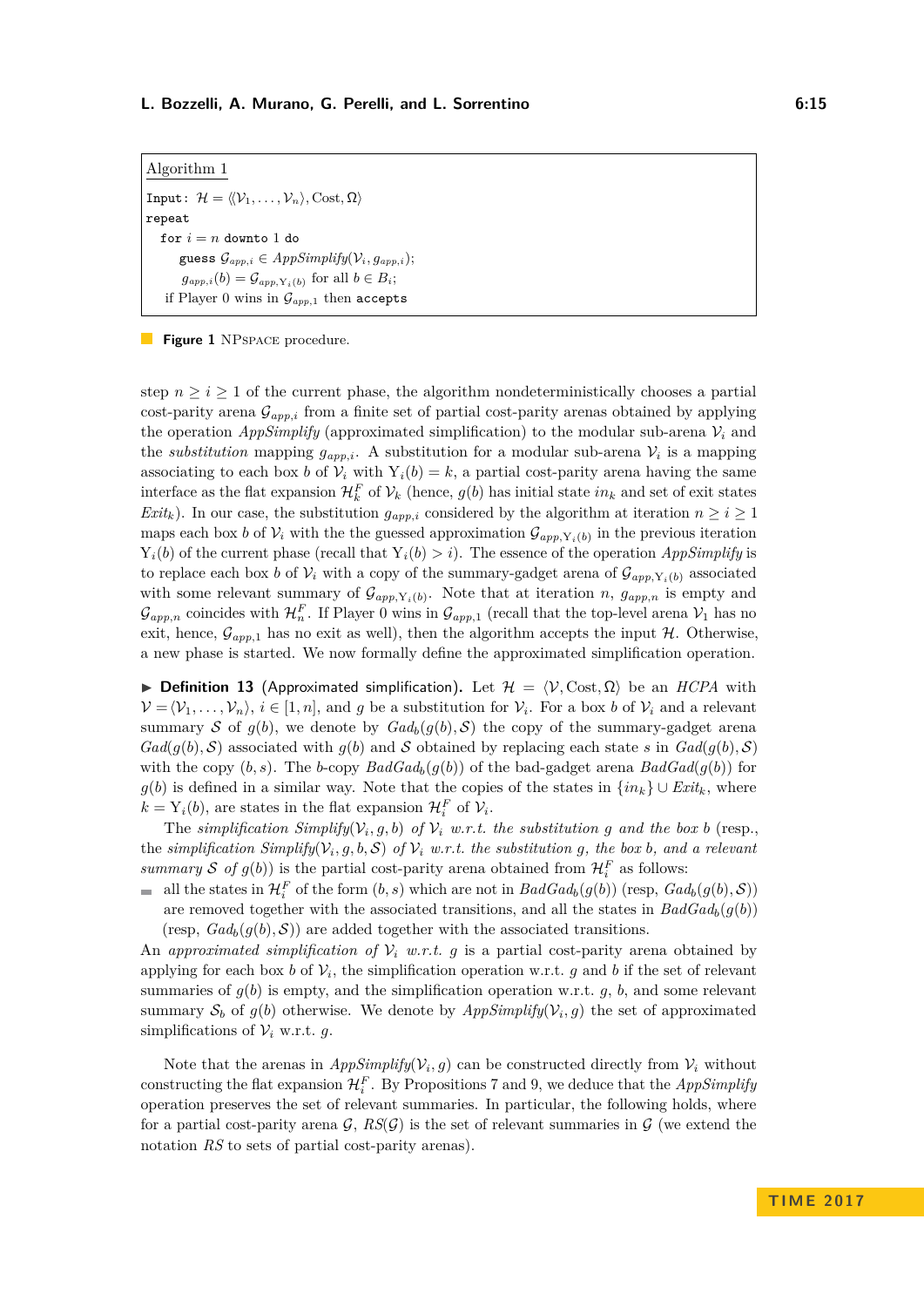<span id="page-14-0"></span>Algorithm 1 Input:  $\mathcal{H} = \langle \mathcal{V}_1, \ldots, \mathcal{V}_n \rangle$ , Cost,  $\Omega$ ) repeat for  $i = n$  downto 1 do guess  $\mathcal{G}_{app,i} \in AppSimplify(\mathcal{V}_i, g_{app,i});$  $g_{app,i}(b) = \mathcal{G}_{app,Y_i(b)}$  for all  $b \in B_i$ ; if Player 0 wins in  $\mathcal{G}_{app,1}$  then accepts

**Figure 1** NPSPACE procedure.

step  $n \geq i \geq 1$  of the current phase, the algorithm nondeterministically chooses a partial cost-parity arena G*app,i* from a finite set of partial cost-parity arenas obtained by applying the operation *AppSimplify* (approximated simplification) to the modular sub-arena  $V_i$  and the *substitution* mapping  $g_{app,i}$ . A substitution for a modular sub-arena  $V_i$  is a mapping associating to each box *b* of  $V_i$  with  $Y_i(b) = k$ , a partial cost-parity arena having the same interface as the flat expansion  $\mathcal{H}_k^F$  of  $\mathcal{V}_k$  (hence,  $g(b)$  has initial state  $in_k$  and set of exit states *Exit<sub>k</sub>*). In our case, the substitution  $g_{app,i}$  considered by the algorithm at iteration  $n \geq i \geq 1$ maps each box *b* of  $V_i$  with the the guessed approximation  $\mathcal{G}_{app,Y_i(b)}$  in the previous iteration  $Y_i(b)$  of the current phase (recall that  $Y_i(b) > i$ ). The essence of the operation *AppSimplify* is to replace each box *b* of  $V_i$  with a copy of the summary-gadget arena of  $\mathcal{G}_{app,Y_i(b)}$  associated with some relevant summary of  $\mathcal{G}_{app,Y_i(b)}$ . Note that at iteration *n*,  $g_{app,n}$  is empty and  $\mathcal{G}_{app,n}$  coincides with  $\mathcal{H}_n^F$ . If Player 0 wins in  $\mathcal{G}_{app,1}$  (recall that the top-level arena  $\mathcal{V}_1$  has no exit, hence,  $\mathcal{G}_{app,1}$  has no exit as well), then the algorithm accepts the input H. Otherwise, a new phase is started. We now formally define the approximated simplification operation.

**► Definition 13** (Approximated simplification). Let  $\mathcal{H} = \langle \mathcal{V}, \text{Cost}, \Omega \rangle$  be an *HCPA* with  $\mathcal{V} = \langle \mathcal{V}_1, \ldots, \mathcal{V}_n \rangle, i \in [1, n],$  and *g* be a substitution for  $\mathcal{V}_i$ . For a box *b* of  $\mathcal{V}_i$  and a relevant summary S of  $q(b)$ , we denote by  $Gal_b(q(b), S)$  the copy of the summary-gadget arena  $Gad(g(b), S)$  associated with  $g(b)$  and S obtained by replacing each state *s* in  $Gad(g(b), S)$ with the copy  $(b, s)$ . The *b*-copy  $BadGad_b(g(b))$  of the bad-gadget arena  $BadGad(g(b))$  for  $g(b)$  is defined in a similar way. Note that the copies of the states in  $\{in_k\} \cup Ext_k$ , where  $k = Y_i(b)$ , are states in the flat expansion  $\mathcal{H}_i^F$  of  $\mathcal{V}_i$ .

The *simplification*  $Simplify(V_i, g, b)$  *of*  $V_i$  *w.r.t. the substitution g and the box b* (resp., the *simplification*  $Simplify(V_i, g, b, S)$  of  $V_i$  w.r.t. the substitution g, the box b, and a relevant *summary*  $S$  *of*  $g(b)$ ) is the partial cost-parity arena obtained from  $\mathcal{H}_i^F$  as follows:

all the states in  $\mathcal{H}_i^F$  of the form  $(b, s)$  which are not in  $BadGad_b(g(b))$  (resp,  $Gal_b(g(b), \mathcal{S})$ ) are removed together with the associated transitions, and all the states in  $BadGad<sub>b</sub>(q(b))$ (resp,  $Gal_b(g(b), S)$ ) are added together with the associated transitions.

An *approximated simplification of*  $V_i$  *w.r.t. g* is a partial cost-parity arena obtained by applying for each box *b* of  $V_i$ , the simplification operation w.r.t. *g* and *b* if the set of relevant summaries of  $g(b)$  is empty, and the simplification operation w.r.t.  $g$ ,  $b$ , and some relevant summary  $S_b$  of  $g(b)$  otherwise. We denote by  $AppSimplify(\mathcal{V}_i, g)$  the set of approximated simplifications of  $V_i$  w.r.t. *g*.

Note that the arenas in  $AppSimplify(\mathcal{V}_i, g)$  can be constructed directly from  $\mathcal{V}_i$  without constructing the flat expansion  $\mathcal{H}_i^F$ . By Propositions [7](#page-11-0) and [9,](#page-11-1) we deduce that the *AppSimplify* operation preserves the set of relevant summaries. In particular, the following holds, where for a partial cost-parity arena  $\mathcal{G}, \mathit{RS}(\mathcal{G})$  is the set of relevant summaries in  $\mathcal{G}$  (we extend the notation *RS* to sets of partial cost-parity arenas).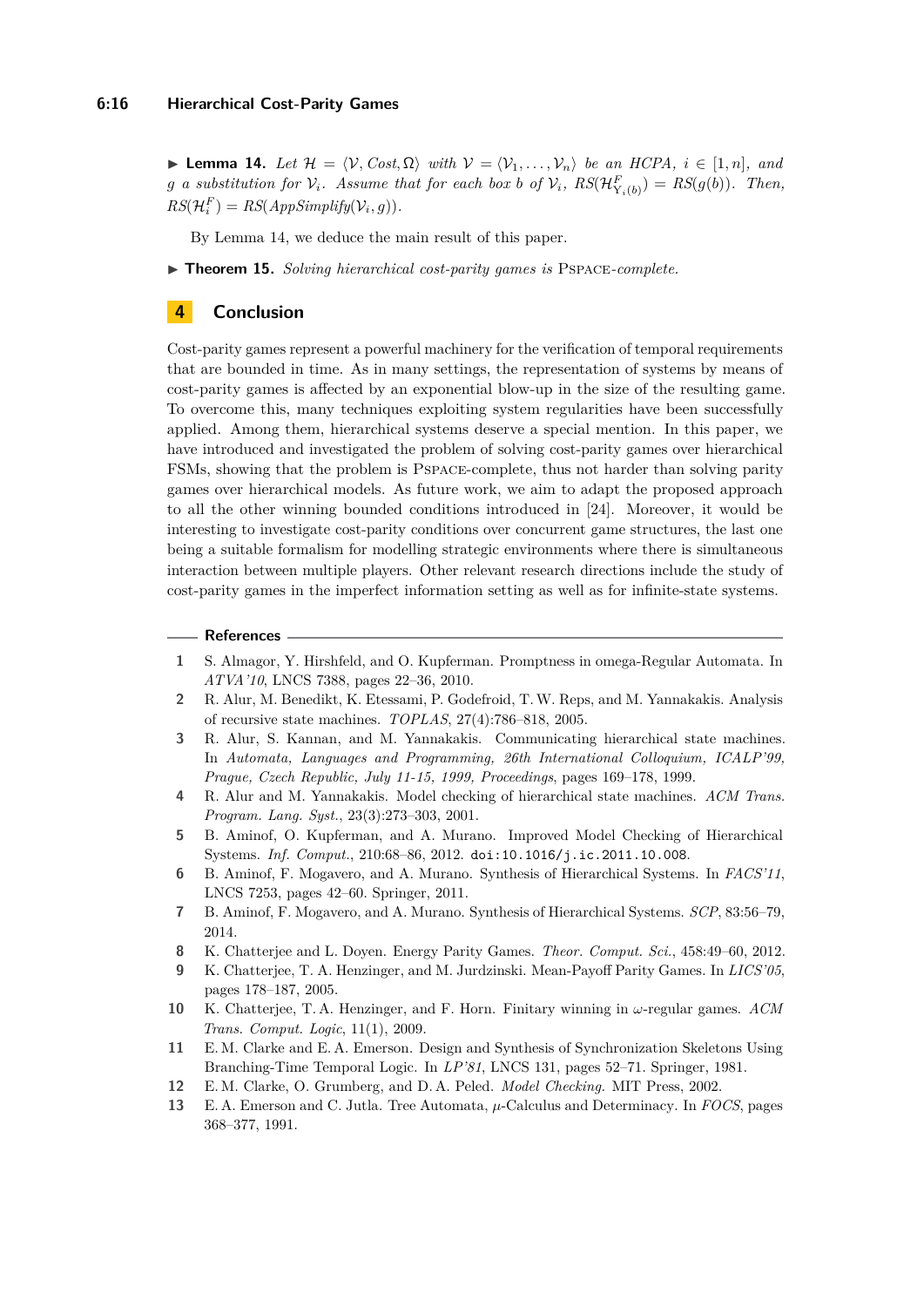<span id="page-15-14"></span> $\blacktriangleright$  **Lemma 14.** *Let*  $\mathcal{H} = \langle \mathcal{V}, Cost, \Omega \rangle$  *with*  $\mathcal{V} = \langle \mathcal{V}_1, ..., \mathcal{V}_n \rangle$  *be an HCPA, i* ∈ [1*, n*]*, and g a* substitution for  $V_i$ *.* Assume that for each box b of  $V_i$ ,  $RS(\mathcal{H}_{Y_i(b)}^F) = RS(g(b))$ *. Then,*  $RS(\mathcal{H}_i^F) = RS(AppSimplify(\mathcal{V}_i, g)).$ 

By Lemma [14,](#page-15-14) we deduce the main result of this paper.

I **Theorem 15.** *Solving hierarchical cost-parity games is* Pspace*-complete.*

# <span id="page-15-12"></span>**4 Conclusion**

Cost-parity games represent a powerful machinery for the verification of temporal requirements that are bounded in time. As in many settings, the representation of systems by means of cost-parity games is affected by an exponential blow-up in the size of the resulting game. To overcome this, many techniques exploiting system regularities have been successfully applied. Among them, hierarchical systems deserve a special mention. In this paper, we have introduced and investigated the problem of solving cost-parity games over hierarchical FSMs, showing that the problem is Pspace-complete, thus not harder than solving parity games over hierarchical models. As future work, we aim to adapt the proposed approach to all the other winning bounded conditions introduced in [\[24\]](#page-16-8). Moreover, it would be interesting to investigate cost-parity conditions over concurrent game structures, the last one being a suitable formalism for modelling strategic environments where there is simultaneous interaction between multiple players. Other relevant research directions include the study of cost-parity games in the imperfect information setting as well as for infinite-state systems.

#### **References**

- <span id="page-15-6"></span>**1** S. Almagor, Y. Hirshfeld, and O. Kupferman. Promptness in omega-Regular Automata. In *ATVA'10*, LNCS 7388, pages 22–36, 2010.
- <span id="page-15-13"></span>**2** R. Alur, M. Benedikt, K. Etessami, P. Godefroid, T.W. Reps, and M. Yannakakis. Analysis of recursive state machines. *TOPLAS*, 27(4):786–818, 2005.
- <span id="page-15-10"></span>**3** R. Alur, S. Kannan, and M. Yannakakis. Communicating hierarchical state machines. In *Automata, Languages and Programming, 26th International Colloquium, ICALP'99, Prague, Czech Republic, July 11-15, 1999, Proceedings*, pages 169–178, 1999.
- <span id="page-15-11"></span>**4** R. Alur and M. Yannakakis. Model checking of hierarchical state machines. *ACM Trans. Program. Lang. Syst.*, 23(3):273–303, 2001.
- <span id="page-15-2"></span>**5** B. Aminof, O. Kupferman, and A. Murano. Improved Model Checking of Hierarchical Systems. *Inf. Comput.*, 210:68–86, 2012. [doi:10.1016/j.ic.2011.10.008](http://dx.doi.org/10.1016/j.ic.2011.10.008).
- <span id="page-15-3"></span>**6** B. Aminof, F. Mogavero, and A. Murano. Synthesis of Hierarchical Systems. In *FACS'11*, LNCS 7253, pages 42–60. Springer, 2011.
- <span id="page-15-4"></span>**7** B. Aminof, F. Mogavero, and A. Murano. Synthesis of Hierarchical Systems. *SCP*, 83:56–79, 2014.
- <span id="page-15-9"></span>**8** K. Chatterjee and L. Doyen. Energy Parity Games. *Theor. Comput. Sci.*, 458:49–60, 2012.
- <span id="page-15-8"></span>**9** K. Chatterjee, T. A. Henzinger, and M. Jurdzinski. Mean-Payoff Parity Games. In *LICS'05*, pages 178–187, 2005.
- <span id="page-15-7"></span>**10** K. Chatterjee, T. A. Henzinger, and F. Horn. Finitary winning in *ω*-regular games. *ACM Trans. Comput. Logic*, 11(1), 2009.
- <span id="page-15-0"></span>**11** E. M. Clarke and E. A. Emerson. Design and Synthesis of Synchronization Skeletons Using Branching-Time Temporal Logic. In *LP'81*, LNCS 131, pages 52–71. Springer, 1981.
- <span id="page-15-1"></span>**12** E. M. Clarke, O. Grumberg, and D. A. Peled. *Model Checking.* MIT Press, 2002.
- <span id="page-15-5"></span>**13** E. A. Emerson and C. Jutla. Tree Automata, *µ*-Calculus and Determinacy. In *FOCS*, pages 368–377, 1991.